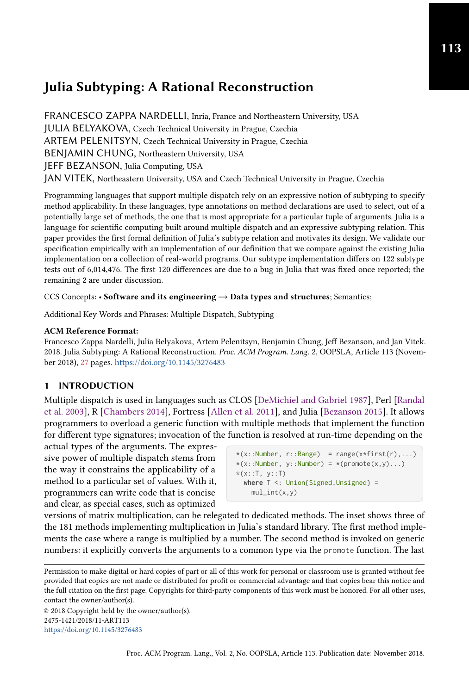FRANCESCO ZAPPA NARDELLI, Inria, France and Northeastern University, USA JULIA BELYAKOVA, Czech Technical University in Prague, Czechia ARTEM PELENITSYN, Czech Technical University in Prague, Czechia BENJAMIN CHUNG, Northeastern University, USA JEFF BEZANSON, Julia Computing, USA JAN VITEK, Northeastern University, USA and Czech Technical University in Prague, Czechia

Programming languages that support multiple dispatch rely on an expressive notion of subtyping to specify method applicability. In these languages, type annotations on method declarations are used to select, out of a potentially large set of methods, the one that is most appropriate for a particular tuple of arguments. Julia is a language for scientific computing built around multiple dispatch and an expressive subtyping relation. This paper provides the first formal definition of Julia's subtype relation and motivates its design. We validate our specification empirically with an implementation of our definition that we compare against the existing Julia implementation on a collection of real-world programs. Our subtype implementation differs on 122 subtype tests out of <sup>6</sup>,014,476. The first 120 differences are due to a bug in Julia that was fixed once reported; the remaining 2 are under discussion.

CCS Concepts: • Software and its engineering  $\rightarrow$  Data types and structures; Semantics;

Additional Key Words and Phrases: Multiple Dispatch, Subtyping

#### ACM Reference Format:

Francesco Zappa Nardelli, Julia Belyakova, Artem Pelenitsyn, Benjamin Chung, Jeff Bezanson, and Jan Vitek. 2018. Julia Subtyping: A Rational Reconstruction. Proc. ACM Program. Lang. 2, OOPSLA, Article 113 (November 2018), [27](#page-26-0) pages. <https://doi.org/10.1145/3276483>

# <span id="page-0-0"></span>1 INTRODUCTION

Multiple dispatch is used in languages such as CLOS [\[DeMichiel and Gabriel](#page-22-0) [1987\]](#page-22-0), Perl [\[Randal](#page-23-0) [et al.](#page-23-0) [2003\]](#page-23-0), R [\[Chambers](#page-22-1) [2014\]](#page-22-1), Fortress [\[Allen et al.](#page-22-2) [2011\]](#page-22-2), and Julia [\[Bezanson](#page-22-3) [2015\]](#page-22-3). It allows programmers to overload a generic function with multiple methods that implement the function for different type signatures; invocation of the function is resolved at run-time depending on the

actual types of the arguments. The expressive power of multiple dispatch stems from the way it constrains the applicability of a method to a particular set of values. With it, programmers can write code that is concise and clear, as special cases, such as optimized

| $*(x::Number, r::Range) = range(x*first(r),)$            |
|----------------------------------------------------------|
| $*(x:$ : Number, $y:$ : Number) = $*($ promote $(x,y)$ ) |
| $*(x$ ::T, $y$ ::T)                                      |
| where $T \leq$ : Union{Signed, Unsigned} =               |
| $mul\_int(x,y)$                                          |

versions of matrix multiplication, can be relegated to dedicated methods. The inset shows three of the 181 methods implementing multiplication in Julia's standard library. The first method implements the case where a range is multiplied by a number. The second method is invoked on generic numbers: it explicitly converts the arguments to a common type via the promote function. The last

© 2018 Copyright held by the owner/author(s). 2475-1421/2018/11-ART113 <https://doi.org/10.1145/3276483>

113

Permission to make digital or hard copies of part or all of this work for personal or classroom use is granted without fee provided that copies are not made or distributed for profit or commercial advantage and that copies bear this notice and the full citation on the first page. Copyrights for third-party components of this work must be honored. For all other uses, contact the owner/author(s).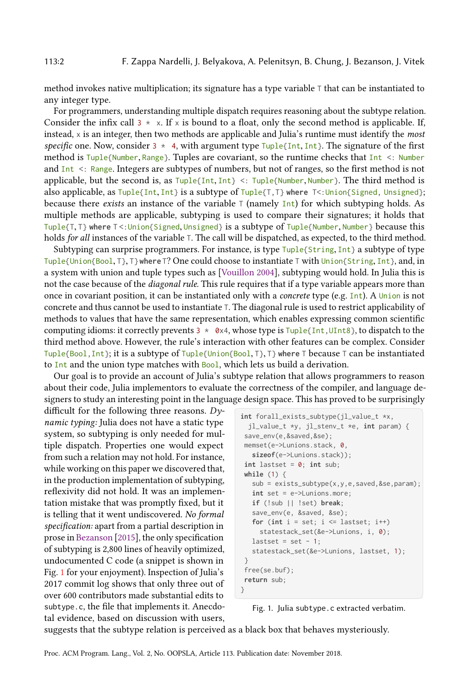method invokes native multiplication; its signature has a type variable  $\top$  that can be instantiated to any integer type.

For programmers, understanding multiple dispatch requires reasoning about the subtype relation. Consider the infix call  $3 \times x$ . If x is bound to a float, only the second method is applicable. If, instead, x is an integer, then two methods are applicable and Julia's runtime must identify the most specific one. Now, consider  $3 \times 4$ , with argument type  $Tuple{Int, Int}.$  The signature of the first method is Tuple{Number, Range}. Tuples are covariant, so the runtime checks that Int <: Number and Int <: Range. Integers are subtypes of numbers, but not of ranges, so the first method is not applicable, but the second is, as Tuple{Int, Int} <: Tuple{Number, Number}. The third method is also applicable, as Tuple{Int, Int} is a subtype of Tuple{T,T} **where** T<:Union{Signed, Unsigned}; because there exists an instance of the variable  $\top$  (namely Int) for which subtyping holds. As multiple methods are applicable, subtyping is used to compare their signatures; it holds that Tuple{T, T} **where** <sup>T</sup> <:Union{Signed, Unsigned} is a subtype of Tuple{Number, Number} because this holds for all instances of the variable T. The call will be dispatched, as expected, to the third method.

Subtyping can surprise programmers. For instance, is type Tuple{String, Int} a subtype of type Tuple{Union{Bool, T}, T} **where** <sup>T</sup>? One could choose to instantiate <sup>T</sup> with Union{String, Int}, and, in a system with union and tuple types such as [\[Vouillon](#page-23-1) [2004\]](#page-23-1), subtyping would hold. In Julia this is not the case because of the diagonal rule. This rule requires that if a type variable appears more than once in covariant position, it can be instantiated only with a concrete type (e.g. Int). A Union is not concrete and thus cannot be used to instantiate T. The diagonal rule is used to restrict applicability of methods to values that have the same representation, which enables expressing common scientific computing idioms: it correctly prevents  $3 \times 0 \times 4$ , whose type is Tuple{Int,UInt8}, to dispatch to the third method above. However, the rule's interaction with other features can be complex. Consider Tuple{Bool,Int}; it is a subtype of Tuple{Union{Bool, T}, T} **where** <sup>T</sup> because <sup>T</sup> can be instantiated to Int and the union type matches with **Bool**, which lets us build a derivation.

Our goal is to provide an account of Julia's subtype relation that allows programmers to reason about their code, Julia implementors to evaluate the correctness of the compiler, and language designers to study an interesting point in the language design space. This has proved to be surprisingly

difficult for the following three reasons.  $D_y$ namic typing: Julia does not have a static type system, so subtyping is only needed for multiple dispatch. Properties one would expect from such a relation may not hold. For instance, while working on this paper we discovered that, in the production implementation of subtyping, reflexivity did not hold. It was an implementation mistake that was promptly fixed, but it is telling that it went undiscovered. No formal specification: apart from a partial description in prose in [Bezanson](#page-22-3) [\[2015\]](#page-22-3), the only specification of subtyping is 2,800 lines of heavily optimized, undocumented C code (a snippet is shown in Fig. [1](#page-1-0) for your enjoyment). Inspection of Julia's 2017 commit log shows that only three out of over 600 contributors made substantial edits to subtype.c, the file that implements it. Anecdotal evidence, based on discussion with users,

```
int forall_exists_subtype(jl_value_t *x,
   jl_value_t *y, jl_stenv_t *e, int param) {
  save_env(e,&saved,&se);
  memset(e->Lunions.stack, 0,
    sizeof(e->Lunions.stack));
  int lastset = 0; int sub;
  while (1) {
    sub = exists_subtype(x,y,e,saved,&se,param);
    int set = e->Lunions.more;
    if (!sub || !set) break;
    save_env(e, &saved, &se);
    for (int i = set; i \leq 1 astset; i++)statestack_set(&e->Lunions, i, 0);
    lastset = set - 1;
    statestack_set(&e->Lunions, lastset, 1);
  }
  free(se.buf);
  return sub;
 }
```

```
Fig. 1. Julia subtype.c extracted verbatim.
```
suggests that the subtype relation is perceived as a black box that behaves mysteriously.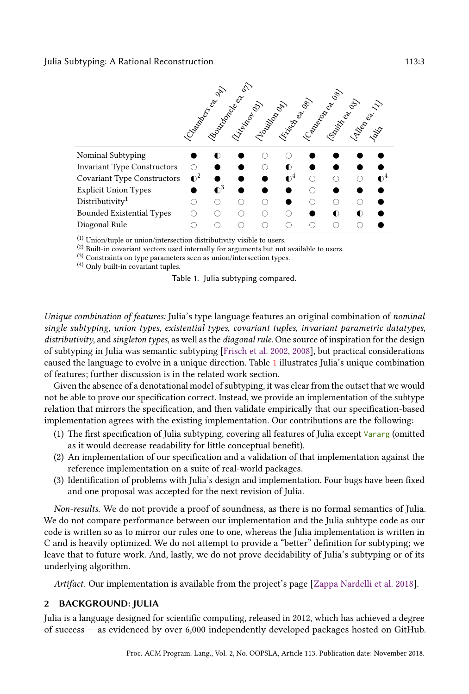<span id="page-2-0"></span>

(1) Union/tuple or union/intersection distributivity visible to users.

(2) Built-in covariant vectors used internally for arguments but not available to users.

<sup>(3)</sup> Constraints on type parameters seen as union/intersection types.

(4) Only built-in covariant tuples.



Unique combination of features: Julia's type language features an original combination of nominal single subtyping, union types, existential types, covariant tuples, invariant parametric datatypes, distributivity, and singleton types, as well as the *diagonal rule*. One source of inspiration for the design of subtyping in Julia was semantic subtyping [\[Frisch et al.](#page-22-4) [2002,](#page-22-4) [2008\]](#page-22-5), but practical considerations caused the language to evolve in a unique direction. Table [1](#page-2-0) illustrates Julia's unique combination of features; further discussion is in the related work section.

Given the absence of a denotational model of subtyping, it was clear from the outset that we would not be able to prove our specification correct. Instead, we provide an implementation of the subtype relation that mirrors the specification, and then validate empirically that our specification-based implementation agrees with the existing implementation. Our contributions are the following:

- (1) The first specification of Julia subtyping, covering all features of Julia except Vararg (omitted as it would decrease readability for little conceptual benefit).
- (2) An implementation of our specification and a validation of that implementation against the reference implementation on a suite of real-world packages.
- (3) Identification of problems with Julia's design and implementation. Four bugs have been fixed and one proposal was accepted for the next revision of Julia.

Non-results. We do not provide a proof of soundness, as there is no formal semantics of Julia. We do not compare performance between our implementation and the Julia subtype code as our code is written so as to mirror our rules one to one, whereas the Julia implementation is written in C and is heavily optimized. We do not attempt to provide a "better" definition for subtyping; we leave that to future work. And, lastly, we do not prove decidability of Julia's subtyping or of its underlying algorithm.

Artifact. Our implementation is available from the project's page [\[Zappa Nardelli et al.](#page-23-2) [2018\]](#page-23-2).

# 2 BACKGROUND: JULIA

Julia is a language designed for scientific computing, released in 2012, which has achieved a degree of success — as evidenced by over 6,000 independently developed packages hosted on GitHub.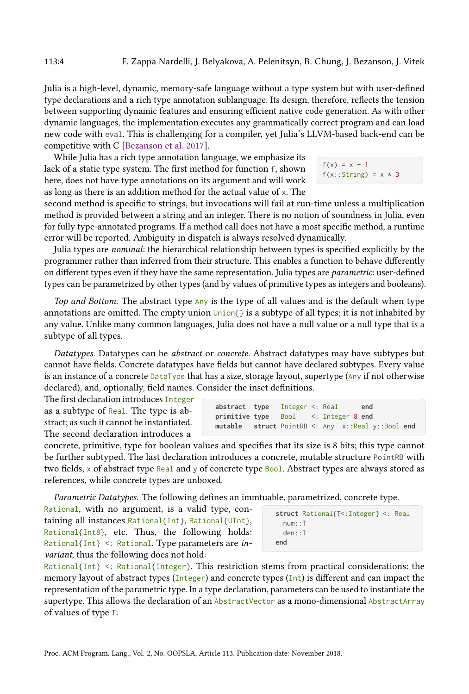Julia is a high-level, dynamic, memory-safe language without a type system but with user-defined type declarations and a rich type annotation sublanguage. Its design, therefore, reflects the tension between supporting dynamic features and ensuring efficient native code generation. As with other dynamic languages, the implementation executes any grammatically correct program and can load new code with eval. This is challenging for a compiler, yet Julia's LLVM-based back-end can be competitive with C [\[Bezanson et al.](#page-22-6) [2017\]](#page-22-6).

While Julia has a rich type annotation language, we emphasize its lack of a static type system. The first method for function f, shown here, does not have type annotations on its argument and will work as long as there is an addition method for the actual value of x. The

 $f(x) = x + 1$  $f(x::String) = x * 3$ 

second method is specific to strings, but invocations will fail at run-time unless a multiplication method is provided between a string and an integer. There is no notion of soundness in Julia, even for fully type-annotated programs. If a method call does not have a most specific method, a runtime error will be reported. Ambiguity in dispatch is always resolved dynamically.

Julia types are nominal: the hierarchical relationship between types is specified explicitly by the programmer rather than inferred from their structure. This enables a function to behave differently on different types even if they have the same representation. Julia types are parametric: user-defined types can be parametrized by other types (and by values of primitive types as integers and booleans).

Top and Bottom. The abstract type Any is the type of all values and is the default when type annotations are omitted. The empty union  $\text{Union} \{ \}$  is a subtype of all types; it is not inhabited by any value. Unlike many common languages, Julia does not have a null value or a null type that is a subtype of all types.

Datatypes. Datatypes can be abstract or concrete. Abstract datatypes may have subtypes but cannot have fields. Concrete datatypes have fields but cannot have declared subtypes. Every value is an instance of a concrete DataType that has a size, storage layout, supertype (Any if not otherwise declared), and, optionally, field names. Consider the inset definitions.

> **abstract type** Integer <: Real **end primitive type** Bool <: Integer 8 **end**

**mutable struct** PointRB <: Any x::Real y::Bool **end**

The first declaration introduces Integer as a subtype of Real. The type is abstract; as such it cannot be instantiated. The second declaration introduces a

concrete, primitive, type for boolean values and specifies that its size is 8 bits; this type cannot be further subtyped. The last declaration introduces a concrete, mutable structure PointRB with two fields, x of abstract type Real and y of concrete type Bool. Abstract types are always stored as references, while concrete types are unboxed.

Parametric Datatypes. The following defines an immtuable, parametrized, concrete type.

Rational, with no argument, is a valid type, containing all instances Rational{Int}, Rational{UInt}, Rational{Int8}, etc. Thus, the following holds: Rational{Int} <: Rational. Type parameters are invariant, thus the following does not hold:

```
struct Rational{T<:Integer} <: Real
 num::T
  den::T
end
```
Rational{Int} <: Rational{Integer}. This restriction stems from practical considerations: the memory layout of abstract types ( $Integer$ ) and concrete types ( $Int$ ) is different and can impact the representation of the parametric type. In a type declaration, parameters can be used to instantiate the supertype. This allows the declaration of an AbstractVector as a mono-dimensional AbstractArray of values of type T: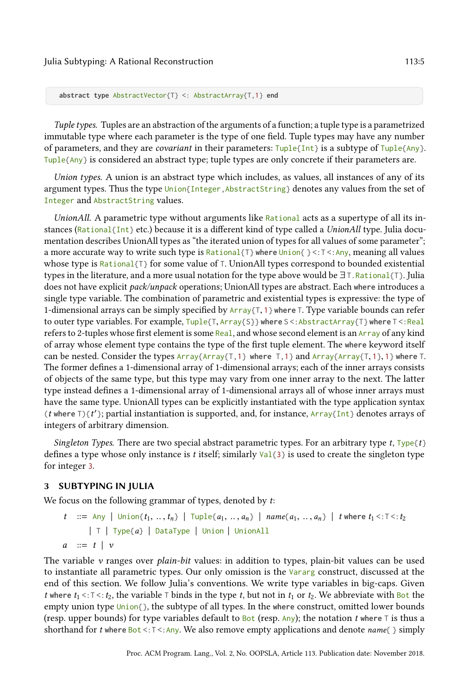```
abstract type AbstractVector{T} <: AbstractArray{T,1} end
```
Tuple types. Tuples are an abstraction of the arguments of a function; a tuple type is a parametrized immutable type where each parameter is the type of one field. Tuple types may have any number of parameters, and they are covariant in their parameters: Tuple{Int} is a subtype of Tuple{Any}. Tuple{Any} is considered an abstract type; tuple types are only concrete if their parameters are.

Union types. A union is an abstract type which includes, as values, all instances of any of its argument types. Thus the type Union{Integer,AbstractString} denotes any values from the set of Integer and AbstractString values.

UnionAll. A parametric type without arguments like Rational acts as a supertype of all its instances (Rational{Int} etc.) because it is a different kind of type called a UnionAll type. Julia documentation describes UnionAll types as "the iterated union of types for all values of some parameter"; a more accurate way to write such type is Rational{T} **where** Union{ } <:T <:Any, meaning all values whose type is Rational $\{T\}$  for some value of T. UnionAll types correspond to bounded existential types in the literature, and a more usual notation for the type above would be  $\exists$  T. Rational{T}. Julia does not have explicit pack/unpack operations; UnionAll types are abstract. Each **where** introduces a single type variable. The combination of parametric and existential types is expressive: the type of 1-dimensional arrays can be simply specified by Array{T, 1} **where** <sup>T</sup>. Type variable bounds can refer to outer type variables. For example,  $Tuple\{T, Array\{S\}}$  where  $S \leq: AbstractArray\{T\}$  where  $T \leq:Real$ refers to 2-tuples whose first element is some Real, and whose second element is an Array of any kind of array whose element type contains the type of the first tuple element. The **where** keyword itself can be nested. Consider the types Array{Array{T,1} **where** T,1} and Array{Array{T, 1}, 1} **where** <sup>T</sup>. The former defines a 1-dimensional array of 1-dimensional arrays; each of the inner arrays consists of objects of the same type, but this type may vary from one inner array to the next. The latter type instead defines a 1-dimensional array of 1-dimensional arrays all of whose inner arrays must have the same type. UnionAll types can be explicitly instantiated with the type application syntax (t **where** T){t ′ }; partial instantiation is supported, and, for instance, Array{Int} denotes arrays of integers of arbitrary dimension.

Singleton Types. There are two special abstract parametric types. For an arbitrary type t,  $Type\{t\}$ defines a type whose only instance is t itself; similarly  $Val{3}$  is used to create the singleton type for integer 3.

# 3 SUBTYPING IN JULIA

We focus on the following grammar of types, denoted by t:

$$
t ::= \text{Any } | \text{ Union}\{t_1, ..., t_n\} | \text{Tuple}\{a_1, ..., a_n\} | \text{name}\{a_1, ..., a_n\} | t \text{ where } t_1 <: \text{T} <: t_2
$$
\n
$$
| \text{T} | \text{Type}\{a\} | \text{DataType } | \text{Union } | \text{UnionAll}
$$
\n
$$
a ::= t | v
$$

The variable v ranges over *plain-bit* values: in addition to types, plain-bit values can be used to instantiate all parametric types. Our only omission is the Vararg construct, discussed at the end of this section. We follow Julia's conventions. We write type variables in big-caps. Given t where  $t_1 < \tau < t_2$ , the variable  $\tau$  binds in the type t, but not in  $t_1$  or  $t_2$ . We abbreviate with Bot the empty union type Union{}, the subtype of all types. In the **where** construct, omitted lower bounds (resp. upper bounds) for type variables default to Bot (resp. Any); the notation t **where** T is thus a shorthand for t where Bot <: T <: Any. We also remove empty applications and denote *name*{ } simply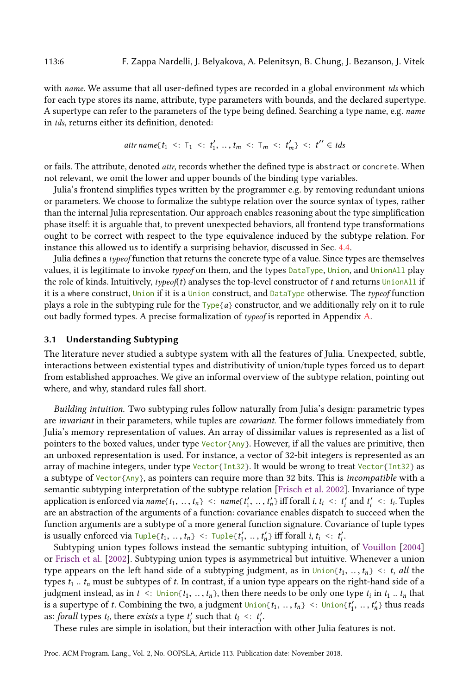with name. We assume that all user-defined types are recorded in a global environment tds which for each type stores its name, attribute, type parameters with bounds, and the declared supertype. A supertype can refer to the parameters of the type being defined. Searching a type name, e.g. name in tds, returns either its definition, denoted:

$$
attr name\{ t_1 \leq \cdots \top_1 \leq t'_1, \ldots, t_m \leq \cdots \top_m \leq t'_m \} \leq t'' \in t ds
$$

or fails. The attribute, denoted attr, records whether the defined type is abstract or concrete. When not relevant, we omit the lower and upper bounds of the binding type variables.

Julia's frontend simplifies types written by the programmer e.g. by removing redundant unions or parameters. We choose to formalize the subtype relation over the source syntax of types, rather than the internal Julia representation. Our approach enables reasoning about the type simplification phase itself: it is arguable that, to prevent unexpected behaviors, all frontend type transformations ought to be correct with respect to the type equivalence induced by the subtype relation. For instance this allowed us to identify a surprising behavior, discussed in Sec. [4.4.](#page-16-0)

Julia defines a typeof function that returns the concrete type of a value. Since types are themselves values, it is legitimate to invoke typeof on them, and the types DataType, Union, and UnionAll play the role of kinds. Intuitively, typeof(t) analyses the top-level constructor of t and returns UnionAll if it is a **where** construct, Union if it is a Union construct, and DataType otherwise. The typeof function plays a role in the subtyping rule for the  $Type{a}$  constructor, and we additionally rely on it to rule out badly formed types. A precise formalization of typeof is reported in Appendix [A.](#page-23-3)

# <span id="page-5-0"></span>3.1 Understanding Subtyping

The literature never studied a subtype system with all the features of Julia. Unexpected, subtle, interactions between existential types and distributivity of union/tuple types forced us to depart from established approaches. We give an informal overview of the subtype relation, pointing out where, and why, standard rules fall short.

Building intuition. Two subtyping rules follow naturally from Julia's design: parametric types are invariant in their parameters, while tuples are covariant. The former follows immediately from Julia's memory representation of values. An array of dissimilar values is represented as a list of pointers to the boxed values, under type Vector{Any}. However, if all the values are primitive, then an unboxed representation is used. For instance, a vector of 32-bit integers is represented as an array of machine integers, under type Vector{Int32}. It would be wrong to treat Vector{Int32} as a subtype of Vector $\{\text{Any}\}$ , as pointers can require more than 32 bits. This is incompatible with a semantic subtyping interpretation of the subtype relation [\[Frisch et al.](#page-22-4) [2002\]](#page-22-4). Invariance of type application is enforced via  $name{t_1, ..., t_n} < \text{: } name[t'_1, ..., t'_n]$  iff forall i,  $t_i < \text{: } t'_i$  and  $t'_i < \text{: } t_i$ . Tuples are an abstraction of the arguments of a function: covariance enables dispatch to succeed when the function arguments are a subtype of a more general function signature. Covariance of tuple types is usually enforced via  $\text{Tuple}\{t_1, \ldots, t_n\} \leq \text{Tuple}\{t'_1, \ldots, t'_n\}$  iff forall  $i, t_i \leq t'_i$ .<br>Subtyping union types follows instead the semantic subtyping intuition

Subtyping union types follows instead the semantic subtyping intuition, of [Vouillon](#page-23-1) [\[2004\]](#page-23-1) or [Frisch et al.](#page-22-4) [\[2002\]](#page-22-4). Subtyping union types is asymmetrical but intuitive. Whenever a union type appears on the left hand side of a subtyping judgment, as in  $\text{Union}\{t_1, \ldots, t_n\} \leq t$ , all the types  $t_1$  ...  $t_n$  must be subtypes of t. In contrast, if a union type appears on the right-hand side of a judgment instead, as in  $t \leq 0$  union $\{t_1, ..., t_n\}$ , then there needs to be only one type  $t_i$  in  $t_1...t_n$  that is a supertype of t. Combining the two a judgment linion  $t_i$ ,  $t_i \geq 0$  linion  $t'_i$ ,  $t'_i$  thus reads is a supertype of t. Combining the two, a judgment  $\text{Union}\{t_1, \ldots, t_n\} \le \text{Union}\{t'_1, \ldots, t'_n\}$  thus reads as: for all types t. there exists a type t' such that  $t_i \le t'$ as: forall types  $t_i$ , there exists a type  $t'_j$  such that  $t_i \leq t'_j$ .

These rules are simple in isolation, but their interaction with other Julia features is not.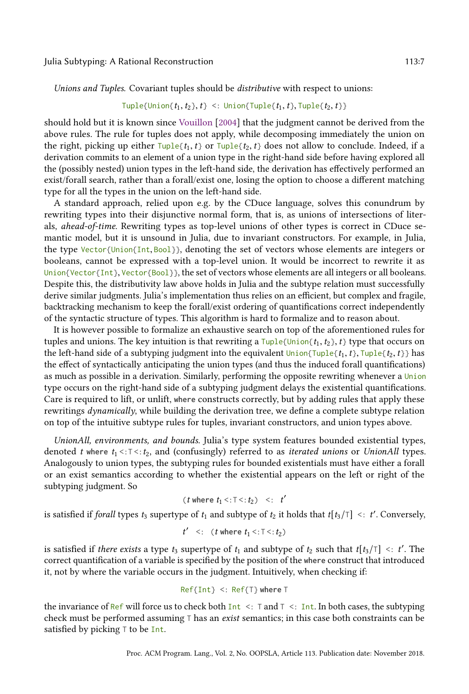Unions and Tuples. Covariant tuples should be distributive with respect to unions:

$$
\text{Tuple}\{\text{Union}\{t_1, t_2\}, t\} \leq \text{Union}\{\text{Tuple}\{t_1, t\}, \text{Tuple}\{t_2, t\}\}
$$

should hold but it is known since [Vouillon](#page-23-1) [\[2004\]](#page-23-1) that the judgment cannot be derived from the above rules. The rule for tuples does not apply, while decomposing immediately the union on the right, picking up either  $\text{Tuple}\{t_1, t\}$  or  $\text{Tuple}\{t_2, t\}$  does not allow to conclude. Indeed, if a derivation commits to an element of a union type in the right-hand side before having explored all the (possibly nested) union types in the left-hand side, the derivation has effectively performed an exist/forall search, rather than a forall/exist one, losing the option to choose a different matching type for all the types in the union on the left-hand side.

A standard approach, relied upon e.g. by the CDuce language, solves this conundrum by rewriting types into their disjunctive normal form, that is, as unions of intersections of literals, ahead-of-time. Rewriting types as top-level unions of other types is correct in CDuce semantic model, but it is unsound in Julia, due to invariant constructors. For example, in Julia, the type Vector{Union{Int, Bool}}, denoting the set of vectors whose elements are integers or booleans, cannot be expressed with a top-level union. It would be incorrect to rewrite it as Union{Vector{Int}, Vector{Bool}}, the set of vectors whose elements are all integers or all booleans. Despite this, the distributivity law above holds in Julia and the subtype relation must successfully derive similar judgments. Julia's implementation thus relies on an efficient, but complex and fragile, backtracking mechanism to keep the forall/exist ordering of quantifications correct independently of the syntactic structure of types. This algorithm is hard to formalize and to reason about.

It is however possible to formalize an exhaustive search on top of the aforementioned rules for tuples and unions. The key intuition is that rewriting a  $Tuple{Union{t_1, t_2}, t}$  type that occurs on the left-hand side of a subtyping judgment into the equivalent Union{Tuple{t<sub>1</sub>, t}, Tuple{t<sub>2</sub>, t}} has the effect of syntactically anticipating the union types (and thus the induced forall quantifications) as much as possible in a derivation. Similarly, performing the opposite rewriting whenever a Union type occurs on the right-hand side of a subtyping judgment delays the existential quantifications. Care is required to lift, or unlift, **where** constructs correctly, but by adding rules that apply these rewritings dynamically, while building the derivation tree, we define a complete subtype relation on top of the intuitive subtype rules for tuples, invariant constructors, and union types above.

UnionAll, environments, and bounds. Julia's type system features bounded existential types, denoted t where  $t_1 \leq t_2$ , and (confusingly) referred to as *iterated unions* or *UnionAll* types. Analogously to union types, the subtyping rules for bounded existentials must have either a forall or an exist semantics according to whether the existential appears on the left or right of the subtyping judgment. So

$$
(t \text{ where } t_1 <: \top <: t_2) <: t'
$$

is satisfied if forall types  $t_3$  supertype of  $t_1$  and subtype of  $t_2$  it holds that  $t[t_3/\top] \, \leq: \, t'.$  Conversely,

$$
t' <: \quad (t \text{ where } t_1 <: \top <: t_2)
$$

is satisfied if there exists a type  $t_3$  supertype of  $t_1$  and subtype of  $t_2$  such that  $t[t_3/\tau] \leq t'$ . The correct quantification of a variable is specified by the position of the **where** construct that introduced it, not by where the variable occurs in the judgment. Intuitively, when checking if:

$$
Ref\{Int\} <: Ref\{T\} where T
$$

the invariance of Ref will force us to check both  $Int < \tau$  and  $T < \tau$ . Int. In both cases, the subtyping check must be performed assuming  $\top$  has an *exist* semantics; in this case both constraints can be satisfied by picking  $\top$  to be Int.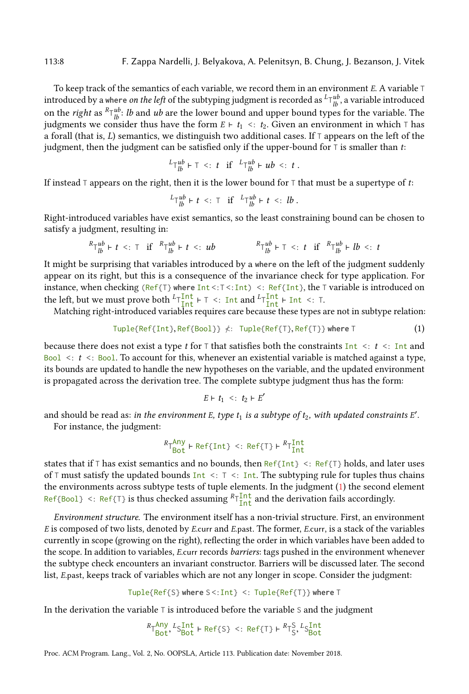To keep track of the semantics of each variable, we record them in an environment E. A variable  $\top$ introduced by a where *on the left* of the subtyping judgment is recorded as  ${}^{L}\tau_{lb}^{ub}$ , a variable introduced on the *right* as  ${}^R\mathsf{T}_{lb}^{ub}$ : *lb* and *ub* are the lower bound and upper bound types for the variable. The judgments we consider thus have the form  $E \vdash t_1 \leq t_2$ . Given an environment in which ⊺ has a forall (that is, L) semantics, we distinguish two additional cases. If  $\top$  appears on the left of the judgment, then the judgment can be satisfied only if the upper-bound for  $\top$  is smaller than t:

$$
L_{\mathsf{T}}^{ub}_{lb} \vdash \top \ \leq: \ t \quad \text{if} \quad L_{\mathsf{T}}^{ub}_{lb} \vdash ub \ \leq: \ t \ .
$$

If instead  $\top$  appears on the right, then it is the lower bound for  $\top$  that must be a supertype of t:

$$
L_{\mathsf{T}}^{ub}_{lb} \vdash t \ \leq: \ \mathsf{T} \quad \text{if} \quad L_{\mathsf{T}}^{ub} \vdash t \ \leq: \ lb \ .
$$

Right-introduced variables have exist semantics, so the least constraining bound can be chosen to satisfy a judgment, resulting in:

$$
R_{\mathsf{T}}^{ub}_{lb} \vdash t \leq \top \quad \text{if} \quad R_{\mathsf{T}}^{ub}_{lb} \vdash t \leq \top \quad ub \qquad R_{\mathsf{T}}^{ub}_{lb} \vdash \top \leq \top \quad \text{if} \quad R_{\mathsf{T}}^{ub}_{lb} \vdash lb \leq \top \quad t
$$

It might be surprising that variables introduced by a **where** on the left of the judgment suddenly appear on its right, but this is a consequence of the invariance check for type application. For instance, when checking (Ref{T} **where** Int <:T <:Int) <: Ref{Int}, the T variable is introduced on the left, but we must prove both  $L_{\text{T}}_{\text{Int}}^{I}$   $\vdash$  T <: Int and  $L_{\text{T}}_{\text{Int}}^{I}$   $\vdash$  Int <: T.

Matching right-introduced variables requires care because these types are not in subtype relation:

$$
Tuple\{Ref\{Int\}, Ref\{Bool\}\} \nless: \n \text{Tuple}\{Ref\{T\}, Ref\{T\}\} \n \text{where } T \n \tag{1}
$$

because there does not exist a type t for  $\top$  that satisfies both the constraints Int  $\lt: t \lt$ . Int and Bool  $\leq$ :  $t \leq$ : Bool. To account for this, whenever an existential variable is matched against a type, its bounds are updated to handle the new hypotheses on the variable, and the updated environment is propagated across the derivation tree. The complete subtype judgment thus has the form:

<span id="page-7-0"></span>
$$
E \vdash t_1 \ \leq t_2 \vdash E'
$$

and should be read as: in the environment E, type  $t_1$  is a subtype of  $t_2$ , with updated constraints E'.

For instance, the judgment:

$$
R_{\text{Tot}}^{\text{Any}} \vdash \text{Ref}\{\text{Int}\} \le \text{Ref}\{\text{T}\} \vdash \text{R}_{\text{Int}}^{\text{Int}}
$$

states that if T has exist semantics and no bounds, then Ref{Int} <: Ref{T} holds, and later uses of  $\top$  must satisfy the updated bounds Int <:  $\top$  <: Int. The subtyping rule for tuples thus chains the environments across subtype tests of tuple elements. In the judgment [\(1\)](#page-7-0) the second element Ref{Bool} <: Ref{T} is thus checked assuming  $R_{\text{Int}}^{\text{Int}}$  and the derivation fails accordingly.

Environment structure. The environment itself has a non-trivial structure. First, an environment E is composed of two lists, denoted by E.curr and E.past. The former, E.curr, is a stack of the variables currently in scope (growing on the right), reflecting the order in which variables have been added to the scope. In addition to variables, E.curr records barriers: tags pushed in the environment whenever the subtype check encounters an invariant constructor. Barriers will be discussed later. The second list, E.past, keeps track of variables which are not any longer in scope. Consider the judgment:

Tuple{Ref{S} **where** S <:Int} <: Tuple{Ref{T}} **where** T

In the derivation the variable  $\top$  is introduced before the variable  $S$  and the judgment

$$
R_{\text{Tot}}^{\text{Any}} \cdot L_{\text{Bot}}^{\text{Int}} \vdash \text{Ref}\{S\} \le R_{\text{eff}}^{\text{ref}} \vdash R_{\text{To}}^{\text{S}} \cdot L_{\text{Bot}}^{\text{Int}}
$$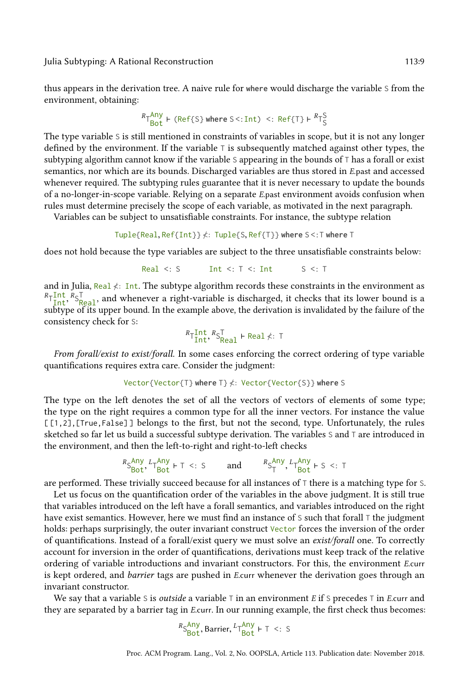thus appears in the derivation tree. A naive rule for **where** would discharge the variable S from the environment, obtaining:

$$
R_{\text{Tot}}^{\text{Any}} \vdash (\text{Ref}\{S\} \text{ where } S <: \text{Int}) <: \text{Ref}\{T\} \vdash \text{R}_{S}^{T_{S}^{S}}
$$

The type variable S is still mentioned in constraints of variables in scope, but it is not any longer defined by the environment. If the variable  $\top$  is subsequently matched against other types, the subtyping algorithm cannot know if the variable S appearing in the bounds of  $\tau$  has a forall or exist semantics, nor which are its bounds. Discharged variables are thus stored in E.past and accessed whenever required. The subtyping rules guarantee that it is never necessary to update the bounds of a no-longer-in-scope variable. Relying on a separate E.past environment avoids confusion when rules must determine precisely the scope of each variable, as motivated in the next paragraph.

Variables can be subject to unsatisfiable constraints. For instance, the subtype relation

Tuple{Real, Ref{Int}} ̸<: Tuple{S, Ref{T}} **where** <sup>S</sup> <:T **where** <sup>T</sup>

does not hold because the type variables are subject to the three unsatisfiable constraints below:

$$
\text{Real} \leq: S \qquad \text{Int} \leq: T \leq: \text{Int} \qquad S \leq: T
$$

and in Julia, Real  $\angle$ : Int. The subtype algorithm records these constraints in the environment as  $R_{\text{T}}$ Int,  $R_{\text{S}}$ T<sub>Int,</sub>  $R_{\text{S}}$ T<sub>1</sub>, and whenever a right-variable is discharged, it checks that its lower bound is a<br>whitme of its upper bound. In the evenuel above, the derivation is involved by the follure of t subtype of its upper bound. In the example above, the derivation is invalidated by the failure of the consistency check for S:

$$
R_{\text{TInt}}^{\text{Int}}\text{R}_{\text{Real}}^{\text{T}} \vdash \text{Real} \nless 1
$$

From forall/exist to exist/forall. In some cases enforcing the correct ordering of type variable quantifications requires extra care. Consider the judgment:

Vector{Vector{T} **where** T} ̸<: Vector{Vector{S}} **where** <sup>S</sup>

The type on the left denotes the set of all the vectors of vectors of elements of some type; the type on the right requires a common type for all the inner vectors. For instance the value [[1,2],[True,False]] belongs to the first, but not the second, type. Unfortunately, the rules sketched so far let us build a successful subtype derivation. The variables S and T are introduced in the environment, and then the left-to-right and right-to-left checks

$$
R_{\text{Bot}}^{Any} L_{\text{T}}^{Any} + T \leq S \qquad \text{and} \qquad R_{\text{S}}^{Any} L_{\text{T}}^{Any} + S \leq T
$$

are performed. These trivially succeed because for all instances of  $\top$  there is a matching type for S.

Let us focus on the quantification order of the variables in the above judgment. It is still true that variables introduced on the left have a forall semantics, and variables introduced on the right have exist semantics. However, here we must find an instance of  $S$  such that forall  $T$  the judgment holds: perhaps surprisingly, the outer invariant construct Vector forces the inversion of the order of quantifications. Instead of a forall/exist query we must solve an exist/forall one. To correctly account for inversion in the order of quantifications, derivations must keep track of the relative ordering of variable introductions and invariant constructors. For this, the environment E.curr is kept ordered, and *barrier* tags are pushed in *E*.curr whenever the derivation goes through an invariant constructor.

We say that a variable S is *outside* a variable  $\top$  in an environment E if S precedes  $\top$  in E.curr and they are separated by a barrier tag in E.curr. In our running example, the first check thus becomes:

$$
R_{S} \frac{Any}{Bot}, \text{Barrier}, \frac{L_{T}}{Bot} \vdash T \leq: S
$$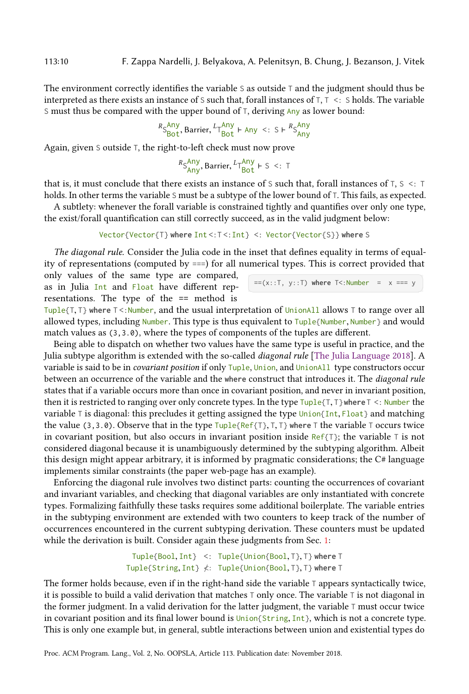The environment correctly identifies the variable  $S$  as outside  $T$  and the judgment should thus be interpreted as there exists an instance of S such that, forall instances of  $T$ ,  $T \leq$ : S holds. The variable S must thus be compared with the upper bound of  $\top$ , deriving Any as lower bound:

$$
R_{S} \frac{\text{Any}}{\text{Bot}}, \text{Barrier}, \frac{L_{T}}{\text{Bot}} + \text{Any} \leq S + \frac{R_{S}}{\text{Any}}
$$

Again, given S outside T, the right-to-left check must now prove

$$
R_{\mathsf{Any}}^{\mathsf{Any}}, \mathsf{Barrier}, {}^{L}_{\mathsf{Tot}}^{\mathsf{Any}} \vdash S \leq T
$$

that is, it must conclude that there exists an instance of  $S$  such that, forall instances of  $T, S \le T$ holds. In other terms the variable S must be a subtype of the lower bound of T. This fails, as expected.

A subtlety: whenever the forall variable is constrained tightly and quantifies over only one type, the exist/forall quantification can still correctly succeed, as in the valid judgment below:

Vector{Vector{T} **where** Int <:T <:Int} <: Vector{Vector{S}} **where** S

The diagonal rule. Consider the Julia code in the inset that defines equality in terms of equality of representations (computed by ===) for all numerical types. This is correct provided that

only values of the same type are compared, as in Julia Int and Float have different representations. The type of the == method is

$$
==(x::T, y::T) where T<:Number = x == y
$$

Tuple{T, T} **where** <sup>T</sup> <:Number, and the usual interpretation of UnionAll allows <sup>T</sup> to range over all allowed types, including Number. This type is thus equivalent to Tuple{Number, Number} and would match values as (3,3.0), where the types of components of the tuples are different.

Being able to dispatch on whether two values have the same type is useful in practice, and the Julia subtype algorithm is extended with the so-called *diagonal rule* [\[The Julia Language](#page-23-4) [2018\]](#page-23-4). A variable is said to be in *covariant position* if only Tuple, Union, and UnionAll type constructors occur between an occurrence of the variable and the **where** construct that introduces it. The diagonal rule states that if a variable occurs more than once in covariant position, and never in invariant position, then it is restricted to ranging over only concrete types. In the type Tuple{T, T}**where**<sup>T</sup> <: Number the variable  $\top$  is diagonal: this precludes it getting assigned the type  $\text{Union{Int, float}}$  and matching the value (3,3.0). Observe that in the type  $Tuple{Ref{T}, T, T}$  where  $T$  the variable  $T$  occurs twice in covariant position, but also occurs in invariant position inside Ref{ $\{T\}$ ; the variable  $\top$  is not considered diagonal because it is unambiguously determined by the subtyping algorithm. Albeit this design might appear arbitrary, it is informed by pragmatic considerations; the C# language implements similar constraints (the paper web-page has an example).

Enforcing the diagonal rule involves two distinct parts: counting the occurrences of covariant and invariant variables, and checking that diagonal variables are only instantiated with concrete types. Formalizing faithfully these tasks requires some additional boilerplate. The variable entries in the subtyping environment are extended with two counters to keep track of the number of occurrences encountered in the current subtyping derivation. These counters must be updated while the derivation is built. Consider again these judgments from Sec. [1:](#page-0-0)

Tuple{Bool, Int} <: Tuple{Union{Bool, T}, T} **where** <sup>T</sup> Tuple{String, Int} ̸<: Tuple{Union{Bool, T}, T} **where** <sup>T</sup>

The former holds because, even if in the right-hand side the variable T appears syntactically twice, it is possible to build a valid derivation that matches  $\top$  only once. The variable  $\top$  is not diagonal in the former judgment. In a valid derivation for the latter judgment, the variable  $\top$  must occur twice in covariant position and its final lower bound is Union{String, Int}, which is not a concrete type. This is only one example but, in general, subtle interactions between union and existential types do

Proc. ACM Program. Lang., Vol. 2, No. OOPSLA, Article 113. Publication date: November 2018.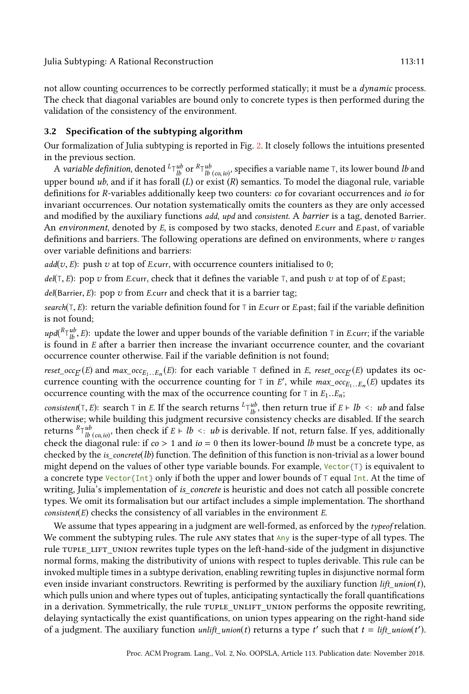not allow counting occurrences to be correctly performed statically; it must be a dynamic process. The check that diagonal variables are bound only to concrete types is then performed during the validation of the consistency of the environment.

# <span id="page-10-0"></span>3.2 Specification of the subtyping algorithm

Our formalization of Julia subtyping is reported in Fig. [2.](#page-11-0) It closely follows the intuitions presented in the previous section.

A *variable definition*, denoted  ${}^L\top_{lb}^{ub}$  or  ${}^R\top_{lb}^{ub}$   $_{(co,io)}$ , specifies a variable name  $\top$ , its lower bound  $lb$  and A variable aefinition, denoted  $\bigcup_{lb}$  or  $\bigcup_{lb}$  (co, io)<sup>, s</sup>pectrics a variable name  $\bigcap$ , its fower bound *ub* and upper bound *ub*, and if it has forall (*L*) or exist (*R*) semantics. To model the diagonal rule, definitions for R-variables additionally keep two counters: co for covariant occurrences and io for invariant occurrences. Our notation systematically omits the counters as they are only accessed and modified by the auxiliary functions *add, upd* and *consistent*. A *barrier* is a tag, denoted Barrier. An environment, denoted by  $E$ , is composed by two stacks, denoted  $E$ , curr and  $E$ , past, of variable definitions and barriers. The following operations are defined on environments, where  $v$  ranges over variable definitions and barriers:

 $add(v, E)$ : push  $v$  at top of E.curr, with occurrence counters initialised to 0;

 $del(\top, E)$ : pop v from E.curr, check that it defines the variable  $\top$ , and push v at top of of E.past;

 $del(Barrier, E)$ : pop v from E.curr and check that it is a barrier tag;

search( $\tau$ , E): return the variable definition found for  $\tau$  in E.curr or E.past; fail if the variable definition is not found;

 $\mu p d\left(\mathbb{F}_{l}^{ub}, E\right)$ : update the lower and upper bounds of the variable definition  $\top$  in E.curr; if the variable is found in E. after a barrier then increase the invariant occurrence counter, and the covariant is found in  $E$  after a barrier then increase the invariant occurrence counter, and the covariant occurrence counter otherwise. Fail if the variable definition is not found;

reset\_occ<sub>E</sub>'(E) and max\_occ<sub>E1</sub>..E<sub>n</sub>(E): for each variable  $\top$  defined in E, reset\_occ<sub>E</sub>'(E) updates its oc-<br>currence counting with the occurrence counting for  $\top$  in E', while may see (E) updates its currence counting with the occurrence counting for  $\top$  in  $E'$ , while  $max\_occ_{E_1...E_n}(E)$  updates its occurrence counting with the max of the occurrence counting for  $\top$  in  $E_1...E_n$ ;

consistent(T, E): search T in E. If the search returns  $L_{lb}^{\text{t}}$ , then return true if  $E \vdash lb \Leftrightarrow ub$  and false<br>otherwise: while building this judgment recursive consistency checks are disabled. If the search otherwise; while building this judgment recursive consistency checks are disabled. If the search returns  ${}^{R}\tau_{l\mu}^{ub}$  then check if  $E \vdash lb \Leftrightarrow ub$  is derivable. If not, return false. If yes, additionally check the diagonal rule: if  $\omega > 1$  and  $i\omega = 0$  then its lower-bound *lb* must be a concrete type, as<br>checked by the *is* concrete<sup>(*lb*)</sup> function. The definition of this function is non-trivial as a lower bound checked by the *is\_concrete(lb)* function. The definition of this function is non-trivial as a lower bound might depend on the values of other type variable bounds. For example,  $\text{Vector}\lbrace T \rbrace$  is equivalent to a concrete type Vector{Int} only if both the upper and lower bounds of  $\top$  equal Int. At the time of writing, Julia's implementation of is concrete is heuristic and does not catch all possible concrete types. We omit its formalisation but our artifact includes a simple implementation. The shorthand *consistent*( $E$ ) checks the consistency of all variables in the environment  $E$ .

We assume that types appearing in a judgment are well-formed, as enforced by the typeof relation. We comment the subtyping rules. The rule ANY states that Any is the super-type of all types. The rule TUPLE\_LIFT\_UNION rewrites tuple types on the left-hand-side of the judgment in disjunctive normal forms, making the distributivity of unions with respect to tuples derivable. This rule can be invoked multiple times in a subtype derivation, enabling rewriting tuples in disjunctive normal form even inside invariant constructors. Rewriting is performed by the auxiliary function  $\text{lift\_union}(t)$ , which pulls union and where types out of tuples, anticipating syntactically the forall quantifications in a derivation. Symmetrically, the rule TUPLE\_UNLIFT\_UNION performs the opposite rewriting, delaying syntactically the exist quantifications, on union types appearing on the right-hand side of a judgment. The auxiliary function *unlift\_union*(*t*) returns a type *t'* such that  $t = lift\_union(t')$ .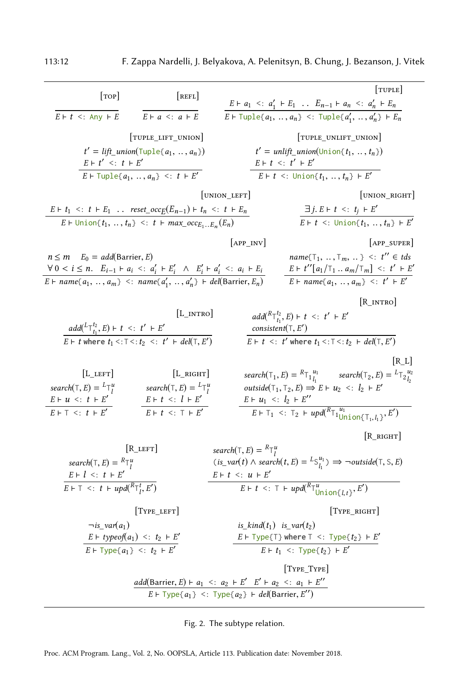<span id="page-11-0"></span>

| TUPLE                                                                                                                                                                                   | $\lceil$ TOP $\rceil$<br>[REFL]                                       |  |
|-----------------------------------------------------------------------------------------------------------------------------------------------------------------------------------------|-----------------------------------------------------------------------|--|
| $E \vdash a_1 \leq a'_1 \vdash E_1 \ldots E_{n-1} \vdash a_n \leq a'_n \vdash E_n$                                                                                                      |                                                                       |  |
| $E \vdash \text{Tuple}\{a_1, , a_n\}$ <: $\text{Tuple}\{a'_1, , a'_n\} \vdash E_n$<br>$E \vdash a \leq a \vdash E$                                                                      | $E \vdash t \le$ : Any $\vdash E$                                     |  |
| [TUPLE_UNLIFT_UNION]<br>$[\texttt{TUPLE\_LIFT\_UNION}]$                                                                                                                                 |                                                                       |  |
| $t' = unlift\_union(\text{Union}\{t_1, , t_n\})$                                                                                                                                        | $t' = lift\_union(Tuple{a_1, , a_n})$                                 |  |
| $E \vdash t \leq t' \vdash E'$                                                                                                                                                          | $E \vdash t' \leq t \vdash E'$                                        |  |
| $E \vdash \text{Tuple}\{a_1, , a_n\} \leq t \vdash E'$<br>$E \vdash t \le$ : Union $\{t_1, , t_n\} \vdash E'$                                                                           |                                                                       |  |
| [UNION_RIGHT]<br>UNION_LEFT                                                                                                                                                             |                                                                       |  |
| $E \vdash t_1 \leq t \vdash E_1 \ldots \text{reset\_occ}_E(E_{n-1}) \vdash t_n \leq t \vdash E_n$<br>$\exists j. E \vdash t \leq t_j \vdash E'$                                         |                                                                       |  |
| $E \vdash t \leq:$ Union{ $t_1, , t_n$ } $\vdash E'$<br>$E \vdash \text{Union}\{t_1, , t_n\} \leq t \vdash max\_occ_{E_1E_n}(E_n)$                                                      |                                                                       |  |
| $[APP_INV]$<br>APP_SUPER                                                                                                                                                                |                                                                       |  |
| $name{\mathcal{T}_1, \ldots, \mathcal{T}_m, \ldots} \leq t'' \in t ds$                                                                                                                  | $n \leq m$ $E_0 = add(Barrier, E)$                                    |  |
| $\forall 0 < i \leq n$ , $E_{i-1} \vdash a_i \leq a'_i \vdash E'_i \land E'_i \vdash a'_i \leq a_i \vdash E_i$<br>$E \vdash t''[a_1/\top_1  a_m/\top_m] \leq t' \vdash E'$              |                                                                       |  |
| $E \vdash name\{a_1, \ldots, a_m\} \leq: t' \vdash E'$<br>$E \vdash \textit{name}\{a_1, \ldots, a_m\} \le \textit{name}\{a'_1, \ldots, a'_n\} \vdash \textit{del}(\text{Barrier}, E_n)$ |                                                                       |  |
| $[R_INTRO]$                                                                                                                                                                             |                                                                       |  |
| $[L_INTRO]$<br>$add(^{R_{\overline{1}}t_{2}}_{t_{1}}, E) \vdash t \leq t' \vdash E'$                                                                                                    |                                                                       |  |
| consistent( $\top$ , E')                                                                                                                                                                | $add({}^{L}\top^{t_2}_{t_1},E) \vdash t \leq t' \vdash E'$            |  |
| $E \vdash t$ where $t_1 \leq t \leq t_2 \leq t' \vdash \text{del}(T, E')$<br>$E \vdash t \leq t'$ where $t_1 \leq \top \leq t_2 \vdash \mathit{del}(\top, E')$                          |                                                                       |  |
| $[R_L]$                                                                                                                                                                                 |                                                                       |  |
| $[L$ <sub>RIGHT</sub><br>search( $\top_1$ , E) = ${}^R\top_1{}^{u_1}_{l_1}$ search( $\top_2$ , E) = ${}^L\top_2{}^{u_2}_{l_2}$                                                          | $[L$ [ $L$ EFT]                                                       |  |
| search( $\top$ , E) = ${}^L\top_l^u$<br>outside( $\top_1, \top_2, E$ ) $\Rightarrow E \vdash u_2 \leq L_2 \vdash E'$                                                                    | search( $\top$ , E) = ${}^L\top$ <sup>u</sup>                         |  |
| $E \vdash t \leq: l \vdash E'$                                                                                                                                                          | $E \vdash u \leq t \vdash E'$                                         |  |
| $E \vdash u_1 \leq L_2 \vdash E''$<br>$E \vdash T_1 \leq T_2 \vdash upd(^{R}T_1 \frac{u_1}{\text{Union}}T_1, l_1, k_1, k')$<br>$E \vdash t \leq: \top \vdash E'$                        | $E \vdash \top \leq: t \vdash E'$                                     |  |
| $[R$ <sub>RIGHT</sub>                                                                                                                                                                   |                                                                       |  |
| $[R$ <sub>LEFT</sub> ]<br>search( $\top$ , E) = $R_{\top} u$                                                                                                                            |                                                                       |  |
| $(is_var(t) \wedge search(t, E) = {}^L\mathcal{S}_L^{u_1}) \Rightarrow \neg outside(\mathcal{T}, \mathcal{S}, E)$                                                                       | search( $\top$ , E) = $\binom{R}{1}$                                  |  |
| $E \vdash t \le u \vdash E'$                                                                                                                                                            | $E \vdash l \prec : t \vdash E'$                                      |  |
| $E \vdash t \leq T \vdash upd(\sqrt[R_{\text{min}}]{t \cdot t}, E')$                                                                                                                    | $E \vdash \top \leq : t \vdash \overline{upd(^{R} \top^{t}_{I}, E')}$ |  |
| $[\texttt{Type\_LEFT}]$<br>$[\texttt{Type\_RIGHT}]$                                                                                                                                     |                                                                       |  |
| is_kind(t <sub>1</sub> ) is_var(t <sub>2</sub> )                                                                                                                                        | $\neg$ is_var(a <sub>1</sub> )                                        |  |
| $E \vdash \text{Type{T}}$ where $\top \leq \top$ ype $\{t_2\} \vdash E'$                                                                                                                | $E \vdash type \circ f(a_1) \leq t_2 \vdash E'$                       |  |
| $E \vdash \text{Type}\{a_1\} \leq t_2 \vdash E'$<br>$E \vdash t_1 \leq: \text{Type}\{t_2\} \vdash E'$                                                                                   |                                                                       |  |
| [TYPE_TYPE]                                                                                                                                                                             |                                                                       |  |
| $add(Barrier, E) \vdash a_1 \leq a_2 \vdash E' \vdash a_2 \leq a_1 \vdash E'$                                                                                                           |                                                                       |  |
| $E \vdash \text{Type}\{a_1\} \leq \text{Type}\{a_2\} \vdash \text{del}(\text{Barrier}, E'')$                                                                                            |                                                                       |  |

Fig. 2. The subtype relation.

Proc. ACM Program. Lang., Vol. 2, No. OOPSLA, Article 113. Publication date: November 2018.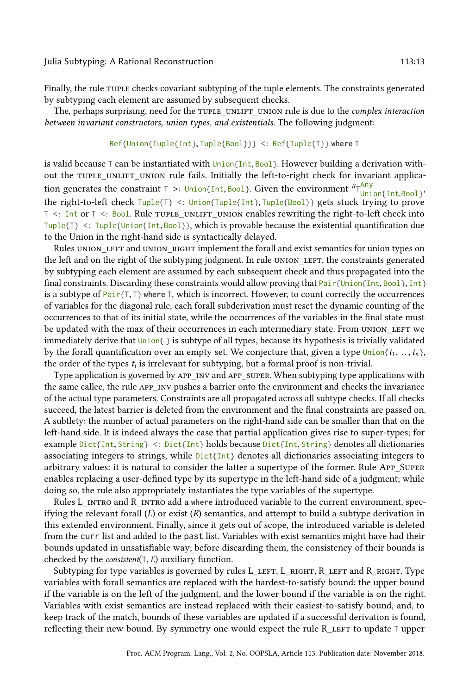Finally, the rule tuple checks covariant subtyping of the tuple elements. The constraints generated by subtyping each element are assumed by subsequent checks.

The, perhaps surprising, need for the TUPLE\_UNLIFT\_UNION rule is due to the *complex interaction* between invariant constructors, union types, and existentials. The following judgment:

Ref{Union{Tuple{Int}, Tuple{Bool}}} <: Ref{Tuple{T}} **where** <sup>T</sup>

is valid because  $\top$  can be instantiated with Union{Int, Bool}. However building a derivation without the TUPLE\_UNLIFT\_UNION rule fails. Initially the left-to-right check for invariant application generates the constraint  $T >:$  Union{Int, Bool}. Given the environment  $R_{\text{To}}^{-\text{Any}}$ Any<br>Union{Int,Bool}'<br>trying to prove the right-to-left check Tuple{T} <: Union{Tuple{Int}, Tuple{Bool}} gets stuck trying to prove  $T \le$ : Int or  $T \le$ : Bool. Rule TUPLE UNLIFT UNION enables rewriting the right-to-left check into Tuple $\{T\}$  <: Tuple $\{Union\{Int, Bool\}\}$ , which is provable because the existential quantification due to the Union in the right-hand side is syntactically delayed.

Rules UNION LEFT and UNION RIGHT implement the forall and exist semantics for union types on the left and on the right of the subtyping judgment. In rule UNION LEFT, the constraints generated by subtyping each element are assumed by each subsequent check and thus propagated into the final constraints. Discarding these constraints would allow proving that Pair{Union{Int, Bool}, Int} is a subtype of Pair{T, T} **where** <sup>T</sup>, which is incorrect. However, to count correctly the occurrences of variables for the diagonal rule, each forall subderivation must reset the dynamic counting of the occurrences to that of its initial state, while the occurrences of the variables in the final state must be updated with the max of their occurrences in each intermediary state. From UNION LEFT we immediately derive that Union{ } is subtype of all types, because its hypothesis is trivially validated by the forall quantification over an empty set. We conjecture that, given a type  $\text{Union}\lbrace t_1, \ldots, t_n \rbrace$ , the order of the types  $t_i$  is irrelevant for subtyping, but a formal proof is non-trivial.

Type application is governed by APP\_INV and APP\_SUPER. When subtyping type applications with the same callee, the rule app\_inv pushes a barrier onto the environment and checks the invariance of the actual type parameters. Constraints are all propagated across all subtype checks. If all checks succeed, the latest barrier is deleted from the environment and the final constraints are passed on. A subtlety: the number of actual parameters on the right-hand side can be smaller than that on the left-hand side. It is indeed always the case that partial application gives rise to super-types; for example Dict{Int, String} <: Dict{Int} holds because Dict{Int, String} denotes all dictionaries associating integers to strings, while Dict{Int} denotes all dictionaries associating integers to arbitrary values: it is natural to consider the latter a supertype of the former. Rule App\_Super enables replacing a user-defined type by its supertype in the left-hand side of a judgment; while doing so, the rule also appropriately instantiates the type variables of the supertype.

Rules L\_intro and R\_intro add a **where** introduced variable to the current environment, specifying the relevant forall  $(L)$  or exist  $(R)$  semantics, and attempt to build a subtype derivation in this extended environment. Finally, since it gets out of scope, the introduced variable is deleted from the curr list and added to the past list. Variables with exist semantics might have had their bounds updated in unsatisfiable way; before discarding them, the consistency of their bounds is checked by the *consistent*( $\tau$ ,  $E$ ) auxiliary function.

Subtyping for type variables is governed by rules L\_LEFT, L\_RIGHT, R\_LEFT and R\_RIGHT. Type variables with forall semantics are replaced with the hardest-to-satisfy bound: the upper bound if the variable is on the left of the judgment, and the lower bound if the variable is on the right. Variables with exist semantics are instead replaced with their easiest-to-satisfy bound, and, to keep track of the match, bounds of these variables are updated if a successful derivation is found, reflecting their new bound. By symmetry one would expect the rule  $R$ \_LEFT to update  $\top$  upper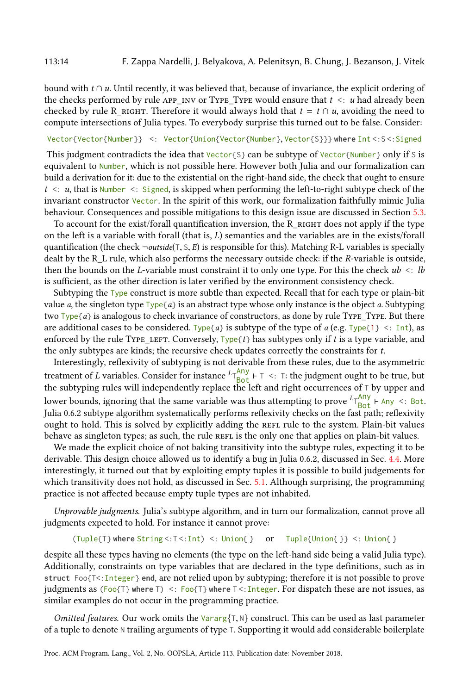113:14 F. Zappa Nardelli, J. Belyakova, A. Pelenitsyn, B. Chung, J. Bezanson, J. Vitek

bound with  $t \cap u$ . Until recently, it was believed that, because of invariance, the explicit ordering of the checks performed by rule  $AP\_{INV}$  or TYPE\_TYPE would ensure that  $t \leq u$  had already been checked by rule R\_RIGHT. Therefore it would always hold that  $t = t \cap u$ , avoiding the need to compute intersections of Julia types. To everybody surprise this turned out to be false. Consider:

Vector{Vector{Number}} <: Vector{Union{Vector{Number}, Vector{S}}} **where** Int <:S <:Signed

This judgment contradicts the idea that Vector{S} can be subtype of Vector{Number} only if S is equivalent to Number, which is not possible here. However both Julia and our formalization can build a derivation for it: due to the existential on the right-hand side, the check that ought to ensure  $t \leq u$ , that is Number  $\leq$ : Signed, is skipped when performing the left-to-right subtype check of the invariant constructor Vector. In the spirit of this work, our formalization faithfully mimic Julia behaviour. Consequences and possible mitigations to this design issue are discussed in Section [5.3.](#page-19-0)

To account for the exist/forall quantification inversion, the R\_RIGHT does not apply if the type on the left is a variable with forall (that is, L) semantics and the variables are in the exists/forall quantification (the check  $\neg\textit{outside}(\top, S, E)$  is responsible for this). Matching R-L variables is specially dealt by the R\_L rule, which also performs the necessary outside check: if the R-variable is outside, then the bounds on the L-variable must constraint it to only one type. For this the check  $ub \leq lb$ is sufficient, as the other direction is later verified by the environment consistency check.

Subtyping the Type construct is more subtle than expected. Recall that for each type or plain-bit value a, the singleton type  $\text{Type}\{a\}$  is an abstract type whose only instance is the object a. Subtyping two  $Type{a}$  is analogous to check invariance of constructors, as done by rule Type. Type. But there are additional cases to be considered. Type ${a}$  is subtype of the type of a (e.g. Type ${1}$  <: Int), as enforced by the rule TYPE\_LEFT. Conversely,  $Type{t}$  has subtypes only if t is a type variable, and the only subtypes are kinds; the recursive check updates correctly the constraints for  $t$ .

Interestingly, reflexivity of subtyping is not derivable from these rules, due to the asymmetric treatment of *L* variables. Consider for instance  $L_T$ Any ⊢  $T$  <: T: the judgment ought to be true, but the subtyping rules will independently replace the left and right occurrences of  $T$  by upper and lower bounds, ignoring that the same variable was thus attempting to prove  $L_T \frac{Any}{Bot}$  ⊢ Any <: Bot. Julia 0.6.2 subtype algorithm systematically performs reflexivity checks on the fast path; reflexivity ought to hold. This is solved by explicitly adding the REFL rule to the system. Plain-bit values behave as singleton types; as such, the rule REFL is the only one that applies on plain-bit values.

We made the explicit choice of not baking transitivity into the subtype rules, expecting it to be derivable. This design choice allowed us to identify a bug in Julia 0.6.2, discussed in Sec. [4.4.](#page-16-0) More interestingly, it turned out that by exploiting empty tuples it is possible to build judgements for which transitivity does not hold, as discussed in Sec. [5.1.](#page-17-0) Although surprising, the programming practice is not affected because empty tuple types are not inhabited.

Unprovable judgments. Julia's subtype algorithm, and in turn our formalization, cannot prove all judgments expected to hold. For instance it cannot prove:

```
(Tuple{T} where String <:T <:Int) <: Union{ } or Tuple{Union{ }} <: Union{ }
```
despite all these types having no elements (the type on the left-hand side being a valid Julia type). Additionally, constraints on type variables that are declared in the type definitions, such as in **struct** Foo{T<:Integer} **end**, are not relied upon by subtyping; therefore it is not possible to prove judgments as (Foo{T} **where** T) <: Foo{T} **where** T <:Integer. For dispatch these are not issues, as similar examples do not occur in the programming practice.

Omitted features. Our work omits the Vararg $\{\tau, N\}$  construct. This can be used as last parameter of a tuple to denote N trailing arguments of type T. Supporting it would add considerable boilerplate

Proc. ACM Program. Lang., Vol. 2, No. OOPSLA, Article 113. Publication date: November 2018.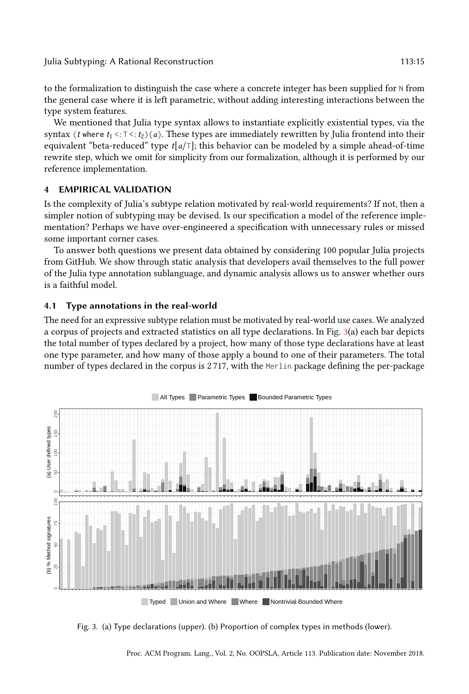to the formalization to distinguish the case where a concrete integer has been supplied for N from the general case where it is left parametric, without adding interesting interactions between the type system features.

We mentioned that Julia type syntax allows to instantiate explicitly existential types, via the syntax (t where  $t_1 \leq t \leq t_2$ )  $\{a\}$ . These types are immediately rewritten by Julia frontend into their equivalent "beta-reduced" type  $t[a/T]$ ; this behavior can be modeled by a simple ahead-of-time rewrite step, which we omit for simplicity from our formalization, although it is performed by our reference implementation.

# 4 EMPIRICAL VALIDATION

Is the complexity of Julia's subtype relation motivated by real-world requirements? If not, then a simpler notion of subtyping may be devised. Is our specification a model of the reference implementation? Perhaps we have over-engineered a specification with unnecessary rules or missed some important corner cases.

To answer both questions we present data obtained by considering 100 popular Julia projects from GitHub. We show through static analysis that developers avail themselves to the full power of the Julia type annotation sublanguage, and dynamic analysis allows us to answer whether ours is a faithful model.

# 4.1 Type annotations in the real-world

The need for an expressive subtype relation must be motivated by real-world use cases. We analyzed a corpus of projects and extracted statistics on all type declarations. In Fig. [3\(](#page-14-0)a) each bar depicts the total number of types declared by a project, how many of those type declarations have at least one type parameter, and how many of those apply a bound to one of their parameters. The total number of types declared in the corpus is 2 717, with the Merlin package defining the per-package

<span id="page-14-0"></span>

Fig. 3. (a) Type declarations (upper). (b) Proportion of complex types in methods (lower).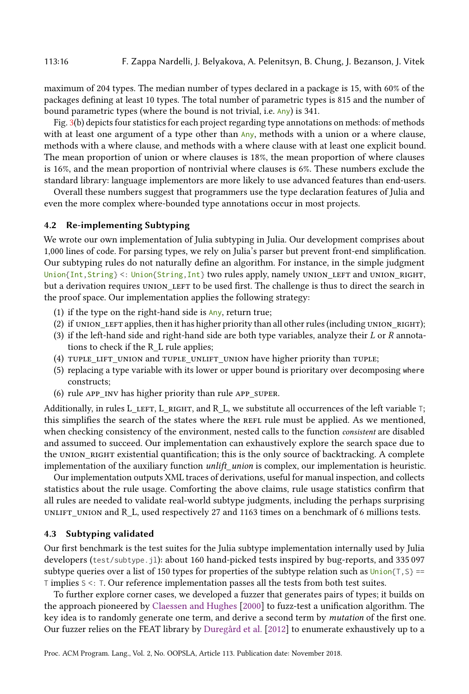maximum of 204 types. The median number of types declared in a package is 15, with 60% of the packages defining at least 10 types. The total number of parametric types is 815 and the number of bound parametric types (where the bound is not trivial, i.e. Any) is 341.

Fig. [3\(](#page-14-0)b) depicts four statistics for each project regarding type annotations on methods: of methods with at least one argument of a type other than Any, methods with a union or a where clause, methods with a where clause, and methods with a where clause with at least one explicit bound. The mean proportion of union or where clauses is 18%, the mean proportion of where clauses is 16%, and the mean proportion of nontrivial where clauses is 6%. These numbers exclude the standard library: language implementors are more likely to use advanced features than end-users.

Overall these numbers suggest that programmers use the type declaration features of Julia and even the more complex where-bounded type annotations occur in most projects.

# 4.2 Re-implementing Subtyping

We wrote our own implementation of Julia subtyping in Julia. Our development comprises about 1,000 lines of code. For parsing types, we rely on Julia's parser but prevent front-end simplification. Our subtyping rules do not naturally define an algorithm. For instance, in the simple judgment  $\text{Union}$ [Int, String} <: Union{String, Int} two rules apply, namely UNION LEFT and UNION RIGHT, but a derivation requires UNION LEFT to be used first. The challenge is thus to direct the search in the proof space. Our implementation applies the following strategy:

- (1) if the type on the right-hand side is Any, return true;
- (2) if union LEFT applies, then it has higher priority than all other rules (including union  $R$  RGHT);
- (3) if the left-hand side and right-hand side are both type variables, analyze their  $L$  or  $R$  annotations to check if the R\_L rule applies;
- (4) TUPLE LIFT UNION and TUPLE UNLIFT UNION have higher priority than TUPLE;
- (5) replacing a type variable with its lower or upper bound is prioritary over decomposing **where** constructs;
- (6) rule app\_inv has higher priority than rule app\_super.

Additionally, in rules L\_LEFT, L\_RIGHT, and R\_L, we substitute all occurrences of the left variable  $\top$ ; this simplifies the search of the states where the REFL rule must be applied. As we mentioned, when checking consistency of the environment, nested calls to the function consistent are disabled and assumed to succeed. Our implementation can exhaustively explore the search space due to the UNION\_RIGHT existential quantification; this is the only source of backtracking. A complete implementation of the auxiliary function *unlift\_union* is complex, our implementation is heuristic.

Our implementation outputs XML traces of derivations, useful for manual inspection, and collects statistics about the rule usage. Comforting the above claims, rule usage statistics confirm that all rules are needed to validate real-world subtype judgments, including the perhaps surprising unlift\_union and R\_L, used respectively 27 and 1163 times on a benchmark of 6 millions tests.

#### 4.3 Subtyping validated

Our first benchmark is the test suites for the Julia subtype implementation internally used by Julia developers (test/subtype.jl): about 160 hand-picked tests inspired by bug-reports, and 335 097 subtype queries over a list of 150 types for properties of the subtype relation such as  $\text{Union}\{T, S\}$  == T implies S <: T. Our reference implementation passes all the tests from both test suites.

To further explore corner cases, we developed a fuzzer that generates pairs of types; it builds on the approach pioneered by [Claessen and Hughes](#page-22-7) [\[2000\]](#page-22-7) to fuzz-test a unification algorithm. The key idea is to randomly generate one term, and derive a second term by mutation of the first one. Our fuzzer relies on the FEAT library by [Duregård et al.](#page-22-8) [\[2012\]](#page-22-8) to enumerate exhaustively up to a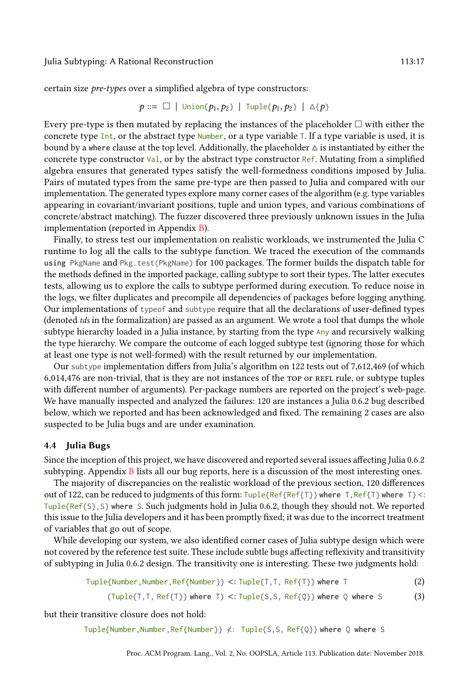certain size pre-types over a simplified algebra of type constructors:

$$
p ::= \Box \mid \text{Union}\{p_1, p_2\} \mid \text{Tuple}\{p_1, p_2\} \mid \Delta\{p\}
$$

Every pre-type is then mutated by replacing the instances of the placeholder  $\Box$  with either the concrete type Int, or the abstract type Number, or a type variable T. If a type variable is used, it is bound by a **where** clause at the top level. Additionally, the placeholder △ is instantiated by either the concrete type constructor Val, or by the abstract type constructor Ref. Mutating from a simplified algebra ensures that generated types satisfy the well-formedness conditions imposed by Julia. Pairs of mutated types from the same pre-type are then passed to Julia and compared with our implementation. The generated types explore many corner cases of the algorithm (e.g. type variables appearing in covariant/invariant positions, tuple and union types, and various combinations of concrete/abstract matching). The fuzzer discovered three previously unknown issues in the Julia implementation (reported in Appendix [B\)](#page-25-0).

Finally, to stress test our implementation on realistic workloads, we instrumented the Julia C runtime to log all the calls to the subtype function. We traced the execution of the commands **using** PkgName and Pkg.test(PkgName) for 100 packages. The former builds the dispatch table for the methods defined in the imported package, calling subtype to sort their types. The latter executes tests, allowing us to explore the calls to subtype performed during execution. To reduce noise in the logs, we filter duplicates and precompile all dependencies of packages before logging anything. Our implementations of typeof and subtype require that all the declarations of user-defined types (denoted tds in the formalization) are passed as an argument. We wrote a tool that dumps the whole subtype hierarchy loaded in a Julia instance, by starting from the type Any and recursively walking the type hierarchy. We compare the outcome of each logged subtype test (ignoring those for which at least one type is not well-formed) with the result returned by our implementation.

Our subtype implementation differs from Julia's algorithm on 122 tests out of <sup>7</sup>,612,<sup>469</sup> (of which 6,014,476 are non-trivial, that is they are not instances of the TOP or REFL rule, or subtype tuples with different number of arguments). Per-package numbers are reported on the project's web-page. We have manually inspected and analyzed the failures: 120 are instances a Julia 0.6.2 bug described below, which we reported and has been acknowledged and fixed. The remaining 2 cases are also suspected to be Julia bugs and are under examination.

#### <span id="page-16-0"></span>4.4 Julia Bugs

Since the inception of this project, we have discovered and reported several issues affecting Julia 0.6.2 subtyping. Appendix [B](#page-25-0) lists all our bug reports, here is a discussion of the most interesting ones.

The majority of discrepancies on the realistic workload of the previous section, 120 differences out of 122, can be reduced to judgments of this form: Tuple{Ref{Ref{T}} **where** T,Ref{T} **where** T} <: Tuple{Ref{S},S} **where** S. Such judgments hold in Julia 0.6.2, though they should not. We reported this issue to the Julia developers and it has been promptly fixed; it was due to the incorrect treatment of variables that go out of scope.

While developing our system, we also identified corner cases of Julia subtype design which were not covered by the reference test suite. These include subtle bugs affecting reflexivity and transitivity of subtyping in Julia 0.6.2 design. The transitivity one is interesting. These two judgments hold:

Tuple{Number,Number,Ref{Number}} <:Tuple{T,T,Ref{T}} where T (2)<br>(Tuple{T,T,Ref{T}} where T) <:Tuple{S,S,Ref{Q}} where Q where S

<span id="page-16-2"></span><span id="page-16-1"></span>(Tuple{T,T, Ref{T}} **where** T) <: Tuple{S,S, Ref{Q}} **where** <sup>Q</sup> **where** <sup>S</sup> (3)

but their transitive closure does not hold:

```
Tuple{Number,Number,Ref{Number}} ̸<: Tuple{S,S, Ref{Q}} where Q where S
```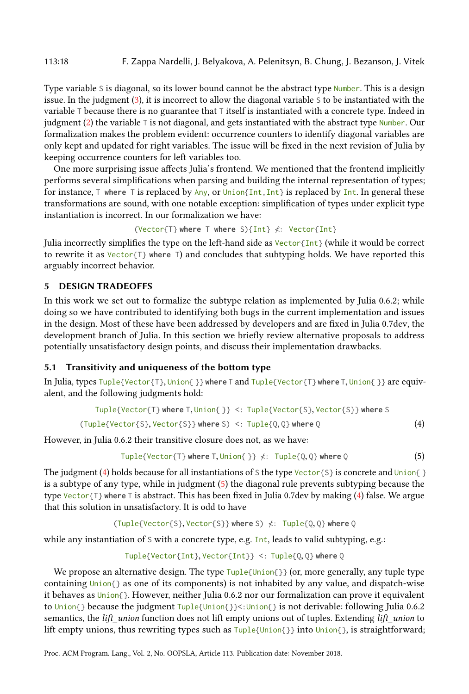Type variable S is diagonal, so its lower bound cannot be the abstract type Number. This is a design issue. In the judgment [\(3\)](#page-16-1), it is incorrect to allow the diagonal variable S to be instantiated with the variable  $\top$  because there is no guarantee that  $\top$  itself is instantiated with a concrete type. Indeed in judgment  $(2)$  the variable  $\top$  is not diagonal, and gets instantiated with the abstract type Number. Our formalization makes the problem evident: occurrence counters to identify diagonal variables are only kept and updated for right variables. The issue will be fixed in the next revision of Julia by keeping occurrence counters for left variables too.

One more surprising issue affects Julia's frontend. We mentioned that the frontend implicitly performs several simplifications when parsing and building the internal representation of types; for instance, T **where** T is replaced by Any, or Union{Int,Int} is replaced by Int. In general these transformations are sound, with one notable exception: simplification of types under explicit type instantiation is incorrect. In our formalization we have:

```
(Vector{T} where T where S){Int} \neq: Vector{Int}
```
Julia incorrectly simplifies the type on the left-hand side as Vector{Int} (while it would be correct to rewrite it as Vector{T} **where** T) and concludes that subtyping holds. We have reported this arguably incorrect behavior.

# 5 DESIGN TRADEOFFS

In this work we set out to formalize the subtype relation as implemented by Julia 0.6.2; while doing so we have contributed to identifying both bugs in the current implementation and issues in the design. Most of these have been addressed by developers and are fixed in Julia 0.7dev, the development branch of Julia. In this section we briefly review alternative proposals to address potentially unsatisfactory design points, and discuss their implementation drawbacks.

# <span id="page-17-0"></span>5.1 Transitivity and uniqueness of the bottom type

In Julia, types Tuple{Vector{T}, Union{ }} **where** <sup>T</sup> and Tuple{Vector{T} **where** <sup>T</sup>, Union{ }} are equivalent, and the following judgments hold:

$$
Tuple{Vector{T} where T, Union{T} } <: Tuple{Vector{S}, Vector{S}} where S
$$

(Tuple{Vector{S}, Vector{S}} **where** S) <: Tuple{Q, Q} **where** <sup>Q</sup> (4)

However, in Julia 0.6.2 their transitive closure does not, as we have:

<span id="page-17-2"></span><span id="page-17-1"></span>
$$
Tuple{Vector{T} where T, Union{T}} \nless: Tuple{Q,Q} where Q
$$
\n(5)

The judgment [\(4\)](#page-17-1) holds because for all instantiations of S the type Vector{S} is concrete and Union{ } is a subtype of any type, while in judgment [\(5\)](#page-17-2) the diagonal rule prevents subtyping because the type Vector{T} **where** T is abstract. This has been fixed in Julia 0.7dev by making [\(4\)](#page-17-1) false. We argue that this solution in unsatisfactory. It is odd to have

```
(Tuple{Vector{S}, Vector{S}} where S) ̸<: Tuple{Q, Q} where Q
```
while any instantiation of S with a concrete type, e.g. Int, leads to valid subtyping, e.g.:

Tuple{Vector{Int}, Vector{Int}} <: Tuple{Q, Q} **where** <sup>Q</sup>

We propose an alternative design. The type  $Tuple{Union}$  { { or, more generally, any tuple type containing Union{} as one of its components) is not inhabited by any value, and dispatch-wise it behaves as Union{}. However, neither Julia 0.6.2 nor our formalization can prove it equivalent to Union{} because the judgment Tuple{Union{}}<:Union{} is not derivable: following Julia 0.6.2 semantics, the *lift* union function does not lift empty unions out of tuples. Extending *lift* union to lift empty unions, thus rewriting types such as Tuple{Union{}} into Union{}, is straightforward;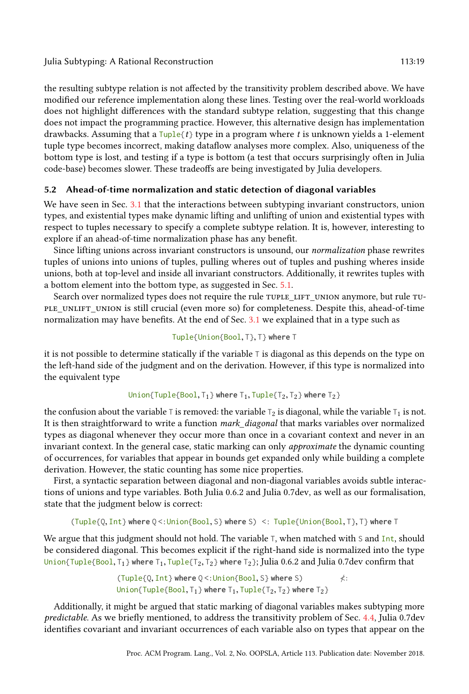the resulting subtype relation is not affected by the transitivity problem described above. We have modified our reference implementation along these lines. Testing over the real-world workloads does not highlight differences with the standard subtype relation, suggesting that this change does not impact the programming practice. However, this alternative design has implementation drawbacks. Assuming that a  $Tuple{t}$  type in a program where t is unknown yields a 1-element tuple type becomes incorrect, making dataflow analyses more complex. Also, uniqueness of the bottom type is lost, and testing if a type is bottom (a test that occurs surprisingly often in Julia code-base) becomes slower. These tradeoffs are being investigated by Julia developers.

# 5.2 Ahead-of-time normalization and static detection of diagonal variables

We have seen in Sec. [3.1](#page-5-0) that the interactions between subtyping invariant constructors, union types, and existential types make dynamic lifting and unlifting of union and existential types with respect to tuples necessary to specify a complete subtype relation. It is, however, interesting to explore if an ahead-of-time normalization phase has any benefit.

Since lifting unions across invariant constructors is unsound, our normalization phase rewrites tuples of unions into unions of tuples, pulling wheres out of tuples and pushing wheres inside unions, both at top-level and inside all invariant constructors. Additionally, it rewrites tuples with a bottom element into the bottom type, as suggested in Sec. [5.1.](#page-17-0)

Search over normalized types does not require the rule TUPLE\_LIFT\_UNION anymore, but rule TUple\_unlift\_union is still crucial (even more so) for completeness. Despite this, ahead-of-time normalization may have benefits. At the end of Sec. [3.1](#page-5-0) we explained that in a type such as

# Tuple{Union{Bool, T}, T} **where** <sup>T</sup>

it is not possible to determine statically if the variable  $\top$  is diagonal as this depends on the type on the left-hand side of the judgment and on the derivation. However, if this type is normalized into the equivalent type

#### Union{Tuple{Bool,  $T_1$ } where  $T_1$ ,  $T_1$ <sub>Uple{</sub> $T_2$ ,  $T_2$ } where  $T_2$ }

the confusion about the variable  $\top$  is removed: the variable  $\top_2$  is diagonal, while the variable  $\top_1$  is not. It is then straightforward to write a function *mark* diagonal that marks variables over normalized types as diagonal whenever they occur more than once in a covariant context and never in an invariant context. In the general case, static marking can only approximate the dynamic counting of occurrences, for variables that appear in bounds get expanded only while building a complete derivation. However, the static counting has some nice properties.

First, a syntactic separation between diagonal and non-diagonal variables avoids subtle interactions of unions and type variables. Both Julia 0.6.2 and Julia 0.7dev, as well as our formalisation, state that the judgment below is correct:

```
(Tuple{Q, Int} where Q <:Union{Bool, S} where S) <: Tuple{Union{Bool, T}, T} where T
```
We argue that this judgment should not hold. The variable  $\tau$ , when matched with S and Int, should be considered diagonal. This becomes explicit if the right-hand side is normalized into the type Union{Tuple{Bool, T<sub>1</sub>} where  $T_1$ , Tuple{T<sub>2</sub>, T<sub>2</sub>} where  $T_2$ }; Julia 0.6.2 and Julia 0.7dev confirm that

```
(Tuple{Q, Int} where Q <:Union{Bool, S} where S) ̸<:
Union{Tuple{Bool, T_1} where T_1, Tuple{T_2, T_2} where T_2}
```
Additionally, it might be argued that static marking of diagonal variables makes subtyping more predictable. As we briefly mentioned, to address the transitivity problem of Sec. [4.4,](#page-16-0) Julia 0.7dev identifies covariant and invariant occurrences of each variable also on types that appear on the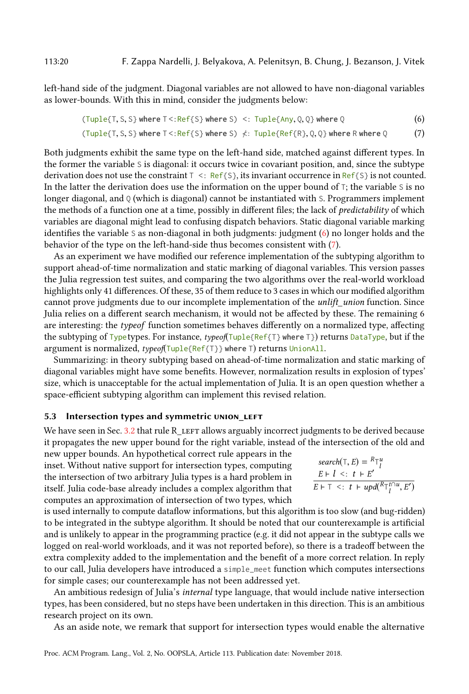left-hand side of the judgment. Diagonal variables are not allowed to have non-diagonal variables as lower-bounds. With this in mind, consider the judgments below:

<span id="page-19-2"></span><span id="page-19-1"></span>
$$
(Tuple\{T, S, S\} where T <: Ref\{S\} where S) <: Tuple\{Any, Q, Q\} where Q
$$
\n
$$
(Tuple\{T, S, S\} where T <:Ref\{S\} where S) <: Tuple\{Ref\{R\}, Q, Q\} where R where Q
$$
\n
$$
(7)
$$

Both judgments exhibit the same type on the left-hand side, matched against different types. In the former the variable S is diagonal: it occurs twice in covariant position, and, since the subtype derivation does not use the constraint  $T \leq R\epsilon f(S)$ , its invariant occurrence in  $R\epsilon f(S)$  is not counted. In the latter the derivation does use the information on the upper bound of  $\tau$ ; the variable S is no longer diagonal, and  $\circ$  (which is diagonal) cannot be instantiated with S. Programmers implement the methods of a function one at a time, possibly in different files; the lack of predictability of which variables are diagonal might lead to confusing dispatch behaviors. Static diagonal variable marking identifies the variable S as non-diagonal in both judgments: judgment [\(6\)](#page-19-1) no longer holds and the behavior of the type on the left-hand-side thus becomes consistent with [\(7\)](#page-19-2).

As an experiment we have modified our reference implementation of the subtyping algorithm to support ahead-of-time normalization and static marking of diagonal variables. This version passes the Julia regression test suites, and comparing the two algorithms over the real-world workload highlights only 41 differences. Of these, 35 of them reduce to 3 cases in which our modified algorithm cannot prove judgments due to our incomplete implementation of the *unlift* union function. Since Julia relies on a different search mechanism, it would not be affected by these. The remaining 6 are interesting: the typeof function sometimes behaves differently on a normalized type, affecting the subtyping of Typetypes. For instance, typeof(Tuple{Ref{T} where T}) returns DataType, but if the argument is normalized, typeof(Tuple{Ref{T}} **where** T) returns UnionAll.

Summarizing: in theory subtyping based on ahead-of-time normalization and static marking of diagonal variables might have some benefits. However, normalization results in explosion of types' size, which is unacceptable for the actual implementation of Julia. It is an open question whether a space-efficient subtyping algorithm can implement this revised relation.

# <span id="page-19-0"></span>5.3 Intersection types and symmetric UNION\_LEFT

We have seen in Sec.  $3.2$  that rule R\_LEFT allows arguably incorrect judgments to be derived because it propagates the new upper bound for the right variable, instead of the intersection of the old and

new upper bounds. An hypothetical correct rule appears in the inset. Without native support for intersection types, computing the intersection of two arbitrary Julia types is a hard problem in itself. Julia code-base already includes a complex algorithm that computes an approximation of intersection of two types, which

| search( $\top$ , E) = $\binom{R}{l}$                                                                  |
|-------------------------------------------------------------------------------------------------------|
|                                                                                                       |
|                                                                                                       |
| $E \vdash l \prec : t \vdash E'$<br>$E \vdash \top \leq : t \vdash upd(^{R} \top^{t \cap u}_{l}, E')$ |

is used internally to compute dataflow informations, but this algorithm is too slow (and bug-ridden) to be integrated in the subtype algorithm. It should be noted that our counterexample is artificial and is unlikely to appear in the programming practice (e.g. it did not appear in the subtype calls we logged on real-world workloads, and it was not reported before), so there is a tradeoff between the extra complexity added to the implementation and the benefit of a more correct relation. In reply to our call, Julia developers have introduced a simple\_meet function which computes intersections for simple cases; our counterexample has not been addressed yet.

An ambitious redesign of Julia's internal type language, that would include native intersection types, has been considered, but no steps have been undertaken in this direction. This is an ambitious research project on its own.

As an aside note, we remark that support for intersection types would enable the alternative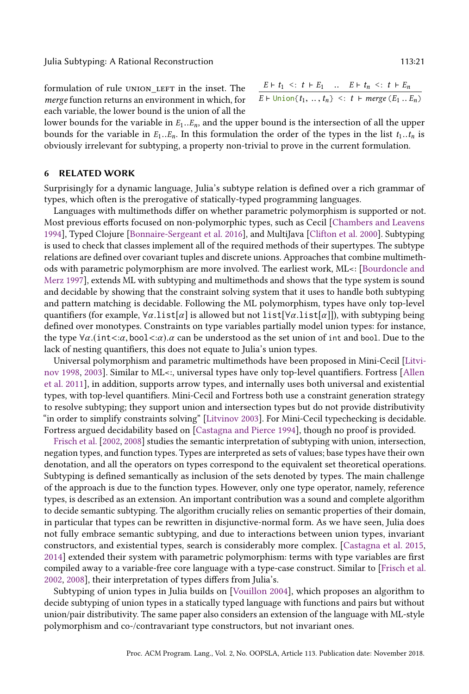formulation of rule UNION\_LEFT in the inset. The merge function returns an environment in which, for each variable, the lower bound is the union of all the

$$
\frac{E \vdash t_1 \leq t \vdash E_1 \dots E \vdash t_n \leq t \vdash E_n}{E \vdash \text{Union}\{t_1, \dots, t_n\} \leq t \vdash merge\left(E_1 \dots E_n\right)}
$$

lower bounds for the variable in  $E_1.E_n$ , and the upper bound is the intersection of all the upper bounds for the variable in  $E_1$ .. $E_n$ . In this formulation the order of the types in the list  $t_1$ .. $t_n$  is obviously irrelevant for subtyping, a property non-trivial to prove in the current formulation.

#### 6 RELATED WORK

Surprisingly for a dynamic language, Julia's subtype relation is defined over a rich grammar of types, which often is the prerogative of statically-typed programming languages.

Languages with multimethods differ on whether parametric polymorphism is supported or not. Most previous efforts focused on non-polymorphic types, such as Cecil [\[Chambers and Leavens](#page-22-9) [1994\]](#page-22-9), Typed Clojure [\[Bonnaire-Sergeant et al.](#page-22-10) [2016\]](#page-22-10), and MultiJava [\[Clifton et al.](#page-22-11) [2000\]](#page-22-11). Subtyping is used to check that classes implement all of the required methods of their supertypes. The subtype relations are defined over covariant tuples and discrete unions. Approaches that combine multimethods with parametric polymorphism are more involved. The earliest work, ML<: [\[Bourdoncle and](#page-22-12) [Merz](#page-22-12) [1997\]](#page-22-12), extends ML with subtyping and multimethods and shows that the type system is sound and decidable by showing that the constraint solving system that it uses to handle both subtyping and pattern matching is decidable. Following the ML polymorphism, types have only top-level quantifiers (for example,  $\forall \alpha$ .list[ $\alpha$ ] is allowed but not list[ $\forall \alpha$ .list[ $\alpha$ ]]), with subtyping being defined over monotypes. Constraints on type variables partially model union types: for instance, the type  $\forall \alpha$ .(int<: $\alpha$ , bool<: $\alpha$ ). $\alpha$  can be understood as the set union of int and bool. Due to the lack of nesting quantifiers, this does not equate to Julia's union types.

Universal polymorphism and parametric multimethods have been proposed in Mini-Cecil [\[Litvi](#page-23-5)[nov](#page-23-5) [1998,](#page-23-5) [2003\]](#page-23-6). Similar to ML<:, universal types have only top-level quantifiers. Fortress [\[Allen](#page-22-2) [et al.](#page-22-2) [2011\]](#page-22-2), in addition, supports arrow types, and internally uses both universal and existential types, with top-level quantifiers. Mini-Cecil and Fortress both use a constraint generation strategy to resolve subtyping; they support union and intersection types but do not provide distributivity "in order to simplify constraints solving" [\[Litvinov](#page-23-6) [2003\]](#page-23-6). For Mini-Cecil typechecking is decidable. Fortress argued decidability based on [\[Castagna and Pierce](#page-22-13) [1994\]](#page-22-13), though no proof is provided.

[Frisch et al.](#page-22-4) [\[2002,](#page-22-4) [2008\]](#page-22-5) studies the semantic interpretation of subtyping with union, intersection, negation types, and function types. Types are interpreted as sets of values; base types have their own denotation, and all the operators on types correspond to the equivalent set theoretical operations. Subtyping is defined semantically as inclusion of the sets denoted by types. The main challenge of the approach is due to the function types. However, only one type operator, namely, reference types, is described as an extension. An important contribution was a sound and complete algorithm to decide semantic subtyping. The algorithm crucially relies on semantic properties of their domain, in particular that types can be rewritten in disjunctive-normal form. As we have seen, Julia does not fully embrace semantic subtyping, and due to interactions between union types, invariant constructors, and existential types, search is considerably more complex. [\[Castagna et al.](#page-22-14) [2015,](#page-22-14) [2014\]](#page-22-15) extended their system with parametric polymorphism: terms with type variables are first compiled away to a variable-free core language with a type-case construct. Similar to [\[Frisch et al.](#page-22-4) [2002,](#page-22-4) [2008\]](#page-22-5), their interpretation of types differs from Julia's.

Subtyping of union types in Julia builds on [\[Vouillon](#page-23-1) [2004\]](#page-23-1), which proposes an algorithm to decide subtyping of union types in a statically typed language with functions and pairs but without union/pair distributivity. The same paper also considers an extension of the language with ML-style polymorphism and co-/contravariant type constructors, but not invariant ones.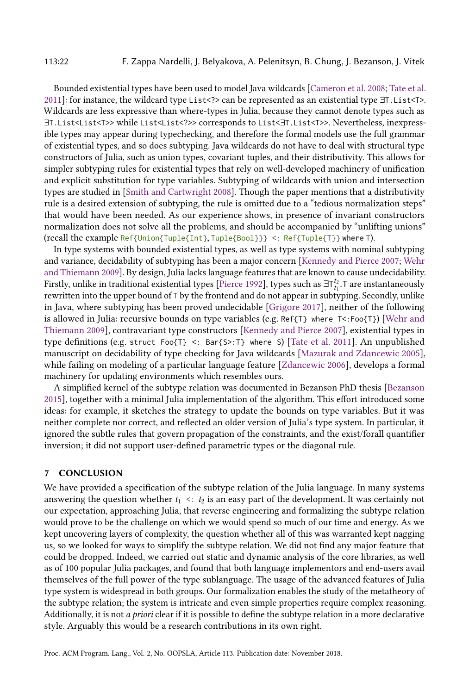Bounded existential types have been used to model Java wildcards [\[Cameron et al.](#page-22-16) [2008;](#page-22-16) [Tate et al.](#page-23-7) [2011\]](#page-23-7): for instance, the wildcard type List<?> can be represented as an existential type ∃T.List<T>. Wildcards are less expressive than where-types in Julia, because they cannot denote types such as ∃T.List<List<T>> while List<List<?>> corresponds to List<∃T.List<T>>. Nevertheless, inexpressible types may appear during typechecking, and therefore the formal models use the full grammar of existential types, and so does subtyping. Java wildcards do not have to deal with structural type constructors of Julia, such as union types, covariant tuples, and their distributivity. This allows for simpler subtyping rules for existential types that rely on well-developed machinery of unification and explicit substitution for type variables. Subtyping of wildcards with union and intersection types are studied in [\[Smith and Cartwright](#page-23-8) [2008\]](#page-23-8). Though the paper mentions that a distributivity rule is a desired extension of subtyping, the rule is omitted due to a "tedious normalization steps" that would have been needed. As our experience shows, in presence of invariant constructors normalization does not solve all the problems, and should be accompanied by "unlifting unions" (recall the example Ref{Union{Tuple{Int}, Tuple{Bool}}} <: Ref{Tuple{T}} **where** <sup>T</sup>).

In type systems with bounded existential types, as well as type systems with nominal subtyping and variance, decidability of subtyping has been a major concern [\[Kennedy and Pierce](#page-23-9) [2007;](#page-23-9) [Wehr](#page-23-10) [and Thiemann](#page-23-10) [2009\]](#page-23-10). By design, Julia lacks language features that are known to cause undecidability. Firstly, unlike in traditional existential types [\[Pierce](#page-23-11) [1992\]](#page-23-11), types such as  $\exists T^{t_2}_t$ . T are instantaneously rewritten into the unner bound of  $\top$  by the frontend and do not annear in subtyping. Secondly, unlike rewritten into the upper bound of  $\top$  by the frontend and do not appear in subtyping. Secondly, unlike in Java, where subtyping has been proved undecidable [\[Grigore](#page-23-12) [2017\]](#page-23-12), neither of the following is allowed in Julia: recursive bounds on type variables (e.g. Ref{T} where T<:Foo{T}) [\[Wehr and](#page-23-10) [Thiemann](#page-23-10) [2009\]](#page-23-10), contravariant type constructors [\[Kennedy and Pierce](#page-23-9) [2007\]](#page-23-9), existential types in type definitions (e.g. struct Foo{T} <: Bar{S>:T} where S) [\[Tate et al.](#page-23-7) [2011\]](#page-23-7). An unpublished manuscript on decidability of type checking for Java wildcards [\[Mazurak and Zdancewic](#page-23-13) [2005\]](#page-23-13), while failing on modeling of a particular language feature [\[Zdancewic](#page-23-14) [2006\]](#page-23-14), develops a formal machinery for updating environments which resembles ours.

A simplified kernel of the subtype relation was documented in Bezanson PhD thesis [\[Bezanson](#page-22-3) [2015\]](#page-22-3), together with a minimal Julia implementation of the algorithm. This effort introduced some ideas: for example, it sketches the strategy to update the bounds on type variables. But it was neither complete nor correct, and reflected an older version of Julia's type system. In particular, it ignored the subtle rules that govern propagation of the constraints, and the exist/forall quantifier inversion; it did not support user-defined parametric types or the diagonal rule.

# 7 CONCLUSION

We have provided a specification of the subtype relation of the Julia language. In many systems answering the question whether  $t_1 \leq t_2$  is an easy part of the development. It was certainly not our expectation, approaching Julia, that reverse engineering and formalizing the subtype relation would prove to be the challenge on which we would spend so much of our time and energy. As we kept uncovering layers of complexity, the question whether all of this was warranted kept nagging us, so we looked for ways to simplify the subtype relation. We did not find any major feature that could be dropped. Indeed, we carried out static and dynamic analysis of the core libraries, as well as of 100 popular Julia packages, and found that both language implementors and end-users avail themselves of the full power of the type sublanguage. The usage of the advanced features of Julia type system is widespread in both groups. Our formalization enables the study of the metatheory of the subtype relation; the system is intricate and even simple properties require complex reasoning. Additionally, it is not a priori clear if it is possible to define the subtype relation in a more declarative style. Arguably this would be a research contributions in its own right.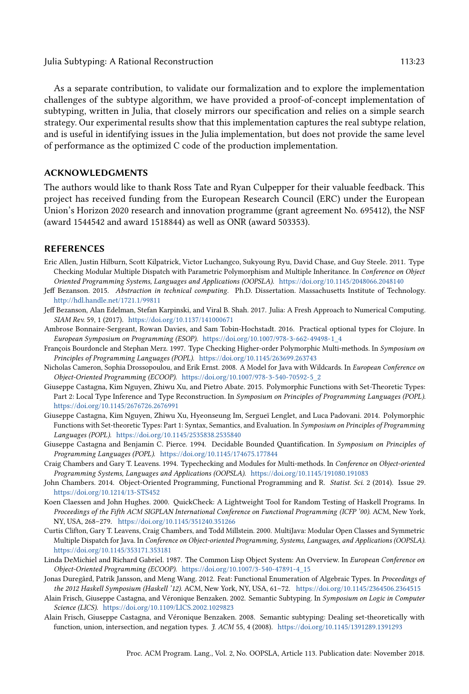As a separate contribution, to validate our formalization and to explore the implementation challenges of the subtype algorithm, we have provided a proof-of-concept implementation of subtyping, written in Julia, that closely mirrors our specification and relies on a simple search strategy. Our experimental results show that this implementation captures the real subtype relation, and is useful in identifying issues in the Julia implementation, but does not provide the same level of performance as the optimized C code of the production implementation.

# ACKNOWLEDGMENTS

The authors would like to thank Ross Tate and Ryan Culpepper for their valuable feedback. This project has received funding from the European Research Council (ERC) under the European Union's Horizon 2020 research and innovation programme (grant agreement No. 695412), the NSF (award 1544542 and award 1518844) as well as ONR (award 503353).

## REFERENCES

- <span id="page-22-2"></span>Eric Allen, Justin Hilburn, Scott Kilpatrick, Victor Luchangco, Sukyoung Ryu, David Chase, and Guy Steele. 2011. Type Checking Modular Multiple Dispatch with Parametric Polymorphism and Multiple Inheritance. In Conference on Object Oriented Programming Systems, Languages and Applications (OOPSLA). <https://doi.org/10.1145/2048066.2048140>
- <span id="page-22-3"></span>Jeff Bezanson. 2015. Abstraction in technical computing. Ph.D. Dissertation. Massachusetts Institute of Technology. <http://hdl.handle.net/1721.1/99811>
- <span id="page-22-6"></span>Jeff Bezanson, Alan Edelman, Stefan Karpinski, and Viral B. Shah. 2017. Julia: A Fresh Approach to Numerical Computing. SIAM Rev. 59, 1 (2017). <https://doi.org/10.1137/141000671>
- <span id="page-22-10"></span>Ambrose Bonnaire-Sergeant, Rowan Davies, and Sam Tobin-Hochstadt. 2016. Practical optional types for Clojure. In European Symposium on Programming (ESOP). [https://doi.org/10.1007/978-3-662-49498-1\\_4](https://doi.org/10.1007/978-3-662-49498-1_4)
- <span id="page-22-12"></span>François Bourdoncle and Stephan Merz. 1997. Type Checking Higher-order Polymorphic Multi-methods. In Symposium on Principles of Programming Languages (POPL). <https://doi.org/10.1145/263699.263743>
- <span id="page-22-16"></span>Nicholas Cameron, Sophia Drossopoulou, and Erik Ernst. 2008. A Model for Java with Wildcards. In European Conference on Object-Oriented Programming (ECOOP). [https://doi.org/10.1007/978-3-540-70592-5\\_2](https://doi.org/10.1007/978-3-540-70592-5_2)
- <span id="page-22-14"></span>Giuseppe Castagna, Kim Nguyen, Zhiwu Xu, and Pietro Abate. 2015. Polymorphic Functions with Set-Theoretic Types: Part 2: Local Type Inference and Type Reconstruction. In Symposium on Principles of Programming Languages (POPL). <https://doi.org/10.1145/2676726.2676991>
- <span id="page-22-15"></span>Giuseppe Castagna, Kim Nguyen, Zhiwu Xu, Hyeonseung Im, Sergueï Lenglet, and Luca Padovani. 2014. Polymorphic Functions with Set-theoretic Types: Part 1: Syntax, Semantics, and Evaluation. In Symposium on Principles of Programming Languages (POPL). <https://doi.org/10.1145/2535838.2535840>
- <span id="page-22-13"></span>Giuseppe Castagna and Benjamin C. Pierce. 1994. Decidable Bounded Quantification. In Symposium on Principles of Programming Languages (POPL). <https://doi.org/10.1145/174675.177844>
- <span id="page-22-9"></span>Craig Chambers and Gary T. Leavens. 1994. Typechecking and Modules for Multi-methods. In Conference on Object-oriented Programming Systems, Languages and Applications (OOPSLA). <https://doi.org/10.1145/191080.191083>
- <span id="page-22-1"></span>John Chambers. 2014. Object-Oriented Programming, Functional Programming and R. Statist. Sci. 2 (2014). Issue 29. <https://doi.org/10.1214/13-STS452>
- <span id="page-22-7"></span>Koen Claessen and John Hughes. 2000. QuickCheck: A Lightweight Tool for Random Testing of Haskell Programs. In Proceedings of the Fifth ACM SIGPLAN International Conference on Functional Programming (ICFP '00). ACM, New York, NY, USA, 268–279. <https://doi.org/10.1145/351240.351266>
- <span id="page-22-11"></span>Curtis Clifton, Gary T. Leavens, Craig Chambers, and Todd Millstein. 2000. MultiJava: Modular Open Classes and Symmetric Multiple Dispatch for Java. In Conference on Object-oriented Programming, Systems, Languages, and Applications (OOPSLA). <https://doi.org/10.1145/353171.353181>
- <span id="page-22-0"></span>Linda DeMichiel and Richard Gabriel. 1987. The Common Lisp Object System: An Overview. In European Conference on Object-Oriented Programming (ECOOP). [https://doi.org/10.1007/3-540-47891-4\\_15](https://doi.org/10.1007/3-540-47891-4_15)
- <span id="page-22-8"></span>Jonas Duregård, Patrik Jansson, and Meng Wang. 2012. Feat: Functional Enumeration of Algebraic Types. In Proceedings of the 2012 Haskell Symposium (Haskell '12). ACM, New York, NY, USA, 61–72. <https://doi.org/10.1145/2364506.2364515>
- <span id="page-22-4"></span>Alain Frisch, Giuseppe Castagna, and Véronique Benzaken. 2002. Semantic Subtyping. In Symposium on Logic in Computer Science (LICS). <https://doi.org/10.1109/LICS.2002.1029823>
- <span id="page-22-5"></span>Alain Frisch, Giuseppe Castagna, and Véronique Benzaken. 2008. Semantic subtyping: Dealing set-theoretically with function, union, intersection, and negation types. J. ACM 55, 4 (2008). <https://doi.org/10.1145/1391289.1391293>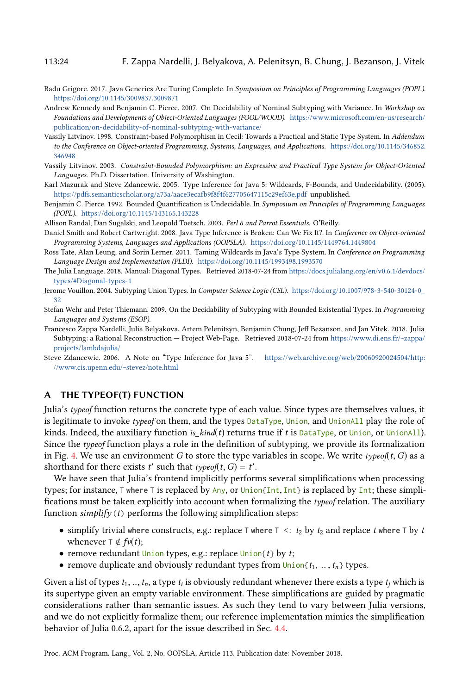- <span id="page-23-12"></span>Radu Grigore. 2017. Java Generics Are Turing Complete. In Symposium on Principles of Programming Languages (POPL). <https://doi.org/10.1145/3009837.3009871>
- <span id="page-23-9"></span>Andrew Kennedy and Benjamin C. Pierce. 2007. On Decidability of Nominal Subtyping with Variance. In Workshop on Foundations and Developments of Object-Oriented Languages (FOOL/WOOD). [https://www.microsoft.com/en-us/research/](https://www.microsoft.com/en-us/research/publication/on-decidability-of-nominal-subtyping-with-variance/) [publication/on-decidability-of-nominal-subtyping-with-variance/](https://www.microsoft.com/en-us/research/publication/on-decidability-of-nominal-subtyping-with-variance/)
- <span id="page-23-5"></span>Vassily Litvinov. 1998. Constraint-based Polymorphism in Cecil: Towards a Practical and Static Type System. In Addendum to the Conference on Object-oriented Programming, Systems, Languages, and Applications. [https://doi.org/10.1145/346852.](https://doi.org/10.1145/346852.346948) [346948](https://doi.org/10.1145/346852.346948)
- <span id="page-23-6"></span>Vassily Litvinov. 2003. Constraint-Bounded Polymorphism: an Expressive and Practical Type System for Object-Oriented Languages. Ph.D. Dissertation. University of Washington.
- <span id="page-23-13"></span>Karl Mazurak and Steve Zdancewic. 2005. Type Inference for Java 5: Wildcards, F-Bounds, and Undecidability. (2005). <https://pdfs.semanticscholar.org/a73a/aace3ecafb9f8f4f627705647115c29ef63e.pdf> unpublished.
- <span id="page-23-11"></span>Benjamin C. Pierce. 1992. Bounded Quantification is Undecidable. In Symposium on Principles of Programming Languages (POPL). <https://doi.org/10.1145/143165.143228>
- <span id="page-23-0"></span>Allison Randal, Dan Sugalski, and Leopold Toetsch. 2003. Perl 6 and Parrot Essentials. O'Reilly.
- <span id="page-23-8"></span>Daniel Smith and Robert Cartwright. 2008. Java Type Inference is Broken: Can We Fix It?. In Conference on Object-oriented Programming Systems, Languages and Applications (OOPSLA). <https://doi.org/10.1145/1449764.1449804>
- <span id="page-23-7"></span>Ross Tate, Alan Leung, and Sorin Lerner. 2011. Taming Wildcards in Java's Type System. In Conference on Programming Language Design and Implementation (PLDI). <https://doi.org/10.1145/1993498.1993570>
- <span id="page-23-4"></span>The Julia Language. 2018. Manual: Diagonal Types. Retrieved 2018-07-24 from [https://docs.julialang.org/en/v0.6.1/devdocs/](https://docs.julialang.org/en/v0.6.1/devdocs/types/#Diagonal-types-1) [types/#Diagonal-types-1](https://docs.julialang.org/en/v0.6.1/devdocs/types/#Diagonal-types-1)
- <span id="page-23-1"></span>Jerome Vouillon. 2004. Subtyping Union Types. In Computer Science Logic (CSL). [https://doi.org/10.1007/978-3-540-30124-0\\_](https://doi.org/10.1007/978-3-540-30124-0_32) [32](https://doi.org/10.1007/978-3-540-30124-0_32)
- <span id="page-23-10"></span>Stefan Wehr and Peter Thiemann. 2009. On the Decidability of Subtyping with Bounded Existential Types. In Programming Languages and Systems (ESOP).
- <span id="page-23-2"></span>Francesco Zappa Nardelli, Julia Belyakova, Artem Pelenitsyn, Benjamin Chung, Jeff Bezanson, and Jan Vitek. 2018. Julia Subtyping: a Rational Reconstruction — Project Web-Page. Retrieved 2018-07-24 from [https://www.di.ens.fr/~zappa/](https://www.di.ens.fr/~zappa/projects/lambdajulia/) [projects/lambdajulia/](https://www.di.ens.fr/~zappa/projects/lambdajulia/)
- <span id="page-23-14"></span>Steve Zdancewic. 2006. A Note on "Type Inference for Java 5". [https://web.archive.org/web/20060920024504/http:](https://web.archive.org/web/20060920024504/http://www.cis.upenn.edu/~stevez/note.html) [//www.cis.upenn.edu/~stevez/note.html](https://web.archive.org/web/20060920024504/http://www.cis.upenn.edu/~stevez/note.html)

# <span id="page-23-3"></span>A THE TYPEOF(T) FUNCTION

Julia's typeof function returns the concrete type of each value. Since types are themselves values, it is legitimate to invoke typeof on them, and the types DataType, Union, and UnionAll play the role of kinds. Indeed, the auxiliary function is  $kind(t)$  returns true if t is DataType, or Union, or UnionAll). Since the typeof function plays a role in the definition of subtyping, we provide its formalization in Fig. [4.](#page-24-0) We use an environment G to store the type variables in scope. We write  $typeof(t, G)$  as a shorthand for there exists t' such that  $typeof(t, G) = t'$ .<br>We have seen that Julia's frontend implicitly performed.

We have seen that Julia's frontend implicitly performs several simplifications when processing types; for instance, <sup>T</sup> **where** <sup>T</sup> is replaced by Any, or Union{Int, Int} is replaced by Int; these simplifications must be taken explicitly into account when formalizing the typeof relation. The auxiliary function  $simplify(t)$  performs the following simplification steps:

- simplify trivial where constructs, e.g.: replace  $\top$  where  $\top \le t_2$  by  $t_2$  and replace t where  $\top$  by t whenever  $\top \notin f \mathcal{V}(t)$ ;
- remove redundant Union types, e.g.: replace Union{t} by t;
- remove duplicate and obviously redundant types from  $\text{Union}\{t_1, \ldots, t_n\}$  types.

Given a list of types  $t_1, ..., t_n$ , a type  $t_i$  is obviously redundant whenever there exists a type  $t_j$  which is<br>its supertype given an empty variable environment. These simplifications are guided by pragmatic its supertype given an empty variable environment. These simplifications are guided by pragmatic considerations rather than semantic issues. As such they tend to vary between Julia versions, and we do not explicitly formalize them; our reference implementation mimics the simplification behavior of Julia 0.6.2, apart for the issue described in Sec. [4.4.](#page-16-0)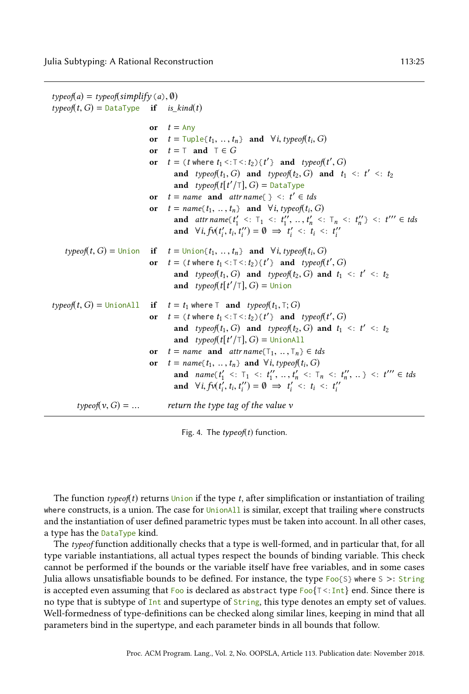<span id="page-24-0"></span> $typeof(a) = typeof(simplify(a), \emptyset)$ <br>  $typeof(t, G) = DataType$  if  $is\_kind(t)$  $typeof(t, G) =$  DataType or  $t = Anv$ or  $t = \text{Tuple}\{t_1, ..., t_n\}$  and  $\forall i, type of(t_i, G)$ <br>or  $t = \text{T and } \text{T} \in G$ or  $t = \top$  and  $\top \in G$ or  $t = (t \text{ where } t_1 < t_2)$  {t'} and typeof(t', G)<br>and typeof(t, G) and typeof(t, G) and t and typeof(t<sub>1</sub>, G) and typeof(t<sub>2</sub>, G) and t<sub>1</sub> <: t' <: t<sub>2</sub><br>and typeof(t[t'/T] G) = patallype and  $typeof(t[t'/\top], G) = DataType$ <br>= name and attraces  $\prec t' \in$ or  $t = name$  and  $attr$  name{ } <:  $t' \in t ds$ or  $t = name\{t_1, ..., t_n\}$  and  $\forall i, type of(t_i, G)$ <br>and attename  $t' \leq T_i \leq t''$ ,  $t' \leq t''$ and  $attr \name{t'_1 \leq t_1 \leq t''_1, \ldots, t'_n \leq t_n \leq t''_n} \leq t''$   $\leq t'' \in t ds$ <br>and  $\forall i$   $f_0(t', t, t'') = 0 \implies t' \leq t, \leq t''$ and  $\forall i, f \vee (t'_i, t_i, t''_i) = \emptyset \implies t'_i \iff t_i \iff t''_i$ typeof(t, G) = Union if  $t =$  Union{t<sub>1</sub>, ...,  $t_n$ } and  $\forall i$ , typeof(t<sub>i</sub>, G)<br>or  $t =$  (t where  $t_i \leq$   $\leq$   $\leq$   $t_0$ )  $t_1$ <sup>+</sup>) and typeof(ti) or  $t = (t \text{ where } t_1 < t_2)$  {t'} and typeof(t', G)<br>and typeof(t, G) and typeof(t, G) and t and typeof(t<sub>1</sub>, G) and typeof(t<sub>2</sub>, G) and t<sub>1</sub> <: t' <: t<sub>2</sub><br>and typeof(t[t'/T] G) = linion **and**  $typeof(t[t'/\top], G) =$  Union typeof(t, G) = UnionAll **if**  $t = t_1$  where  $\top$  **and** typeof(t<sub>1</sub>,  $\top$ ; G)<br> **or**  $t = (t$  where  $t_1 \leq \top \leq t_2) \{t'\}$  **and** or  $t = (t \text{ where } t_1 < t_2)$  {t'} and typeof(t', G)<br>and typeof(t, G) and typeof(t, G) and t and typeof(t<sub>1</sub>, G) and typeof(t<sub>2</sub>, G) and t<sub>1</sub> <: t' <: t<sub>2</sub><br>and typeof(t[t'/T] G) = linionAl] and  $typeof(t[t'/\top], G) = \text{UnionAll}$ <br>= name and attraces  $\top$ ,  $\top$ or  $t = name$  and  $attrname{\{\top_1, \ldots, \top_n\}} \in tds$ or  $t = name\{t_1, ..., t_n\}$  and  $\forall i, type of(t_i, G)$ <br>and name  $t' \leq t \leq t'$ ,  $t'' \neq t' \leq t$ and  $name{t'_1} <: \top_1 <: t''_1, ..., t'_n <: \top_n <: t''_n, ...\} <: t''' \in tds$ <br>and  $\forall i$   $f_0(t' + t'') = 0 \rightarrow t' < t < t'''$ and  $\forall i, f \vee (t_i^j, t_i, t_i^{\prime\prime}) = \emptyset \implies t_i^{\prime} \leq t_i \leq t_i^{\prime\prime}$  $typeof(v, G) = ...$  return the type tag of the value v

Fig. 4. The  $typeof(t)$  function.

The function  $typeof(t)$  returns Union if the type t, after simplification or instantiation of trailing **where** constructs, is a union. The case for UnionAll is similar, except that trailing **where** constructs and the instantiation of user defined parametric types must be taken into account. In all other cases, a type has the DataType kind.

The typeof function additionally checks that a type is well-formed, and in particular that, for all type variable instantiations, all actual types respect the bounds of binding variable. This check cannot be performed if the bounds or the variable itself have free variables, and in some cases Julia allows unsatisfiable bounds to be defined. For instance, the type Foo{S} **where** <sup>S</sup> >: String is accepted even assuming that Foo is declared as abstract type  $Foo\{T\leq \text{Int}\}\)$  end. Since there is no type that is subtype of Int and supertype of String, this type denotes an empty set of values. Well-formedness of type-definitions can be checked along similar lines, keeping in mind that all parameters bind in the supertype, and each parameter binds in all bounds that follow.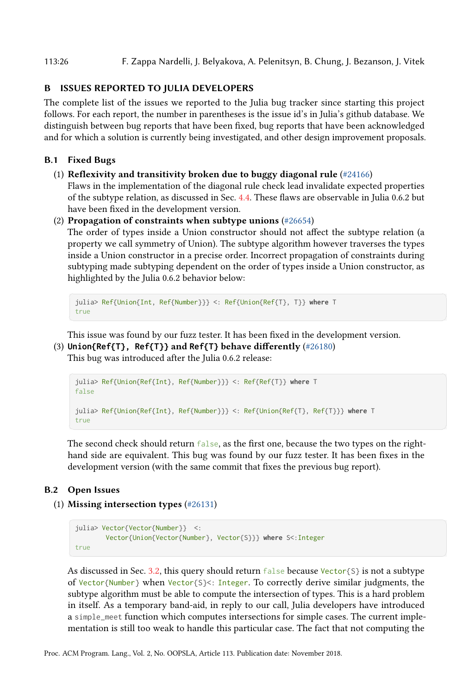# <span id="page-25-0"></span>B ISSUES REPORTED TO JULIA DEVELOPERS

The complete list of the issues we reported to the Julia bug tracker since starting this project follows. For each report, the number in parentheses is the issue id's in Julia's github database. We distinguish between bug reports that have been fixed, bug reports that have been acknowledged and for which a solution is currently being investigated, and other design improvement proposals.

# B.1 Fixed Bugs

# (1) Reflexivity and transitivity broken due to buggy diagonal rule [\(#24166\)](https://github.com/JuliaLang/julia/issues/24166)

Flaws in the implementation of the diagonal rule check lead invalidate expected properties of the subtype relation, as discussed in Sec. [4.4.](#page-16-0) These flaws are observable in Julia 0.6.2 but have been fixed in the development version.

# (2) Propagation of constraints when subtype unions [\(#26654\)](https://github.com/JuliaLang/julia/issues/26654)

The order of types inside a Union constructor should not affect the subtype relation (a property we call symmetry of Union). The subtype algorithm however traverses the types inside a Union constructor in a precise order. Incorrect propagation of constraints during subtyping made subtyping dependent on the order of types inside a Union constructor, as highlighted by the Julia 0.6.2 behavior below:

```
✞ ☎
julia> Ref{Union{Int, Ref{Number}}} <: Ref{Union{Ref{T}, T}} where T
 true
```
This issue was found by our fuzz tester. It has been fixed in the development version.

```
(3) Union{Ref{T}, Ref{T}} and Ref{T} behave differently (#26180)
```
This bug was introduced after the Julia 0.6.2 release:

```
julia> Ref{Union{Ref{Int}, Ref{Number}}} <: Ref{Ref{T}} where T
false
julia> Ref{Union{Ref{Int}, Ref{Number}}} <: Ref{Union{Ref{T}, Ref{T}}} where T
true
```
The second check should return false, as the first one, because the two types on the righthand side are equivalent. This bug was found by our fuzz tester. It has been fixes in the development version (with the same commit that fixes the previous bug report).

# B.2 Open Issues

# (1) Missing intersection types [\(#26131\)](https://github.com/JuliaLang/julia/issues/26131)

```
julia> Vector{Vector{Number}} <:
       Vector{Union{Vector{Number}, Vector{S}}} where S<:Integer
true
```
As discussed in Sec. [3.2,](#page-10-0) this query should return false because Vector{S} is not a subtype of Vector{Number} when Vector{S}<: Integer. To correctly derive similar judgments, the subtype algorithm must be able to compute the intersection of types. This is a hard problem in itself. As a temporary band-aid, in reply to our call, Julia developers have introduced a simple\_meet function which computes intersections for simple cases. The current implementation is still too weak to handle this particular case. The fact that not computing the